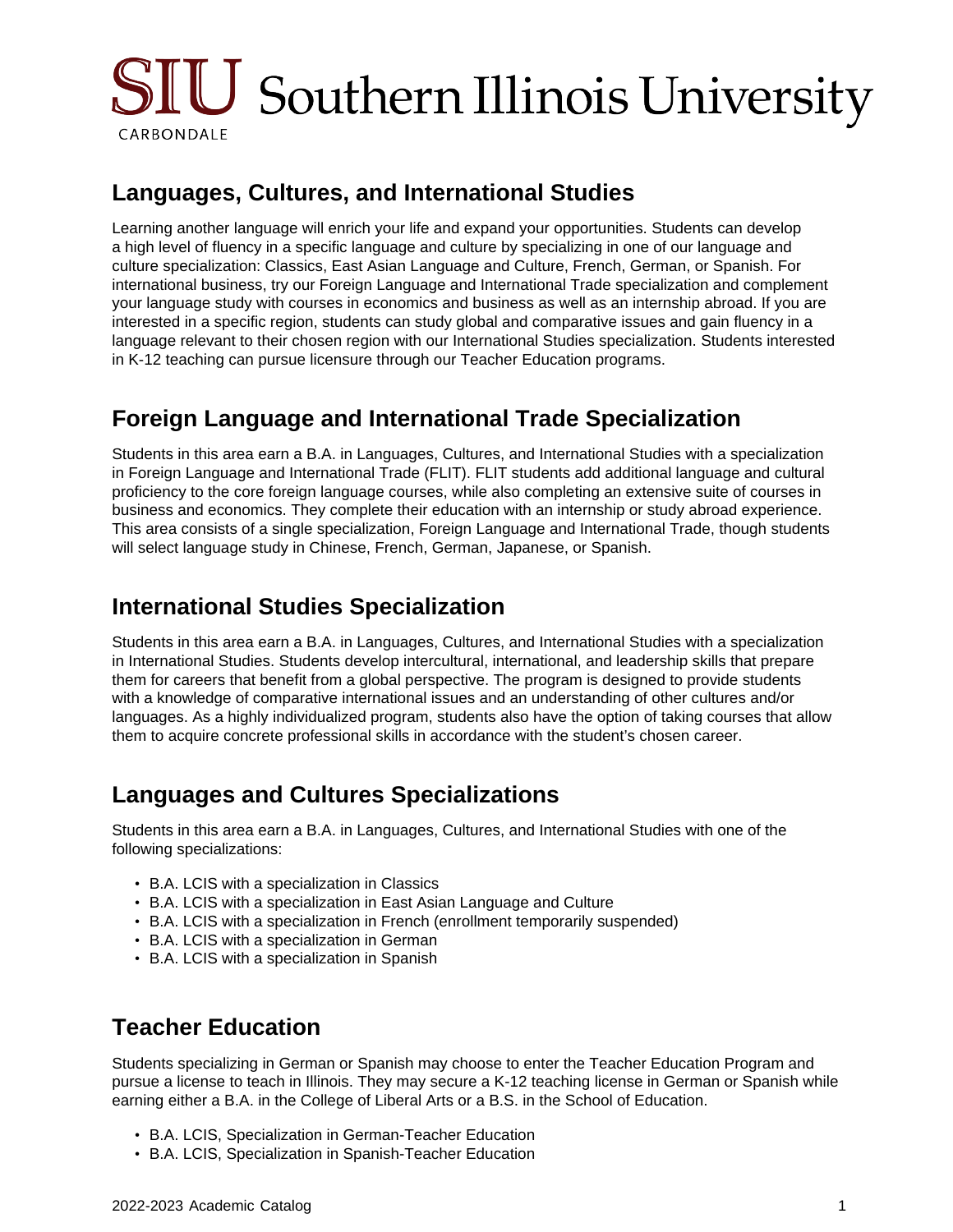

### **Languages, Cultures, and International Studies**

Learning another language will enrich your life and expand your opportunities. Students can develop a high level of fluency in a specific language and culture by specializing in one of our language and culture specialization: Classics, East Asian Language and Culture, French, German, or Spanish. For international business, try our Foreign Language and International Trade specialization and complement your language study with courses in economics and business as well as an internship abroad. If you are interested in a specific region, students can study global and comparative issues and gain fluency in a language relevant to their chosen region with our International Studies specialization. Students interested in K-12 teaching can pursue licensure through our Teacher Education programs.

# **Foreign Language and International Trade Specialization**

Students in this area earn a B.A. in Languages, Cultures, and International Studies with a specialization in Foreign Language and International Trade (FLIT). FLIT students add additional language and cultural proficiency to the core foreign language courses, while also completing an extensive suite of courses in business and economics. They complete their education with an internship or study abroad experience. This area consists of a single specialization, Foreign Language and International Trade, though students will select language study in Chinese, French, German, Japanese, or Spanish.

### **International Studies Specialization**

Students in this area earn a B.A. in Languages, Cultures, and International Studies with a specialization in International Studies. Students develop intercultural, international, and leadership skills that prepare them for careers that benefit from a global perspective. The program is designed to provide students with a knowledge of comparative international issues and an understanding of other cultures and/or languages. As a highly individualized program, students also have the option of taking courses that allow them to acquire concrete professional skills in accordance with the student's chosen career.

### **Languages and Cultures Specializations**

Students in this area earn a B.A. in Languages, Cultures, and International Studies with one of the following specializations:

- B.A. LCIS with a specialization in Classics
- B.A. LCIS with a specialization in East Asian Language and Culture
- B.A. LCIS with a specialization in French (enrollment temporarily suspended)
- B.A. LCIS with a specialization in German
- B.A. LCIS with a specialization in Spanish

# **Teacher Education**

Students specializing in German or Spanish may choose to enter the Teacher Education Program and pursue a license to teach in Illinois. They may secure a K-12 teaching license in German or Spanish while earning either a B.A. in the College of Liberal Arts or a B.S. in the School of Education.

- B.A. LCIS, Specialization in German-Teacher Education
- B.A. LCIS, Specialization in Spanish-Teacher Education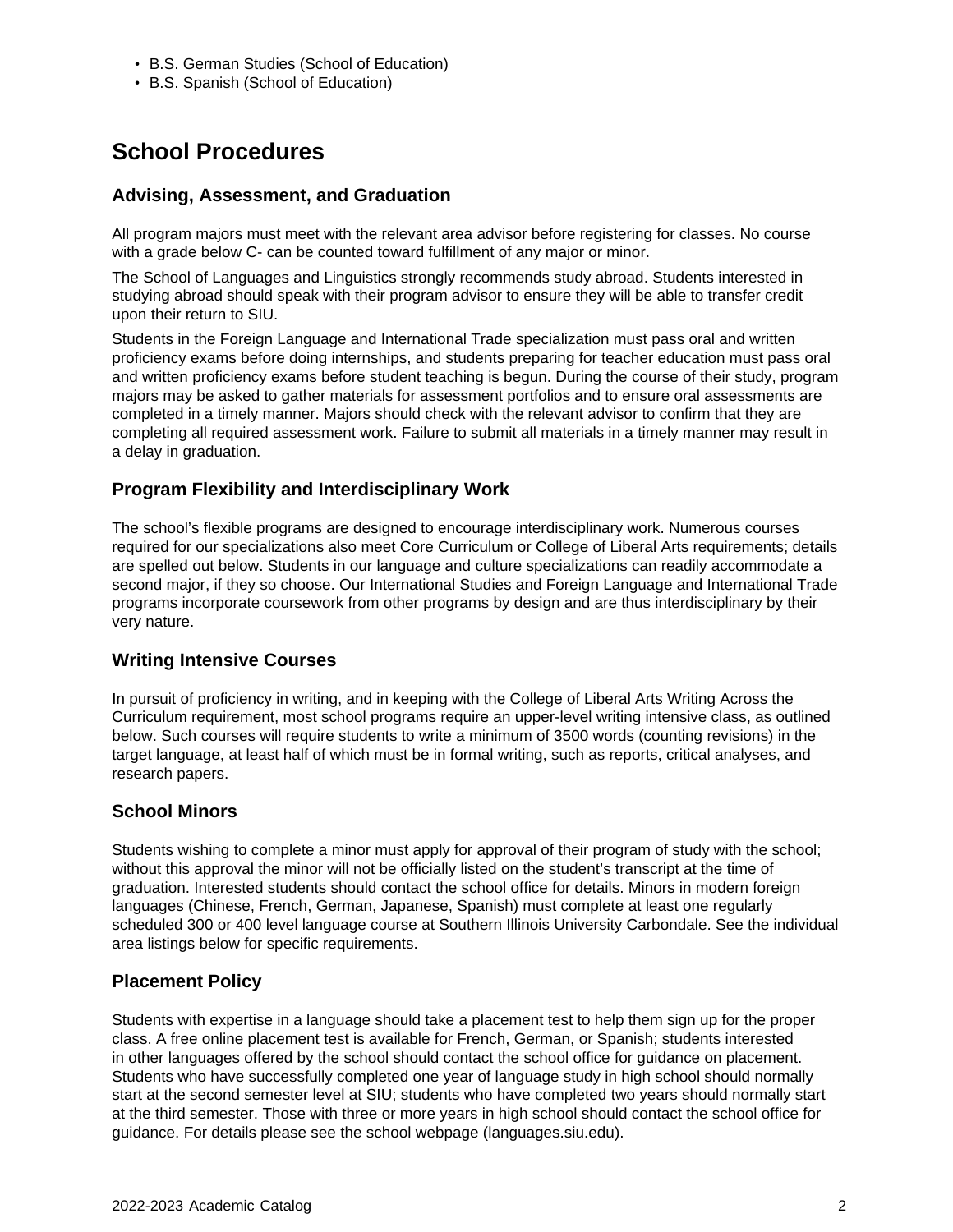- B.S. German Studies (School of Education)
- B.S. Spanish (School of Education)

# **School Procedures**

#### **Advising, Assessment, and Graduation**

All program majors must meet with the relevant area advisor before registering for classes. No course with a grade below C- can be counted toward fulfillment of any major or minor.

The School of Languages and Linguistics strongly recommends study abroad. Students interested in studying abroad should speak with their program advisor to ensure they will be able to transfer credit upon their return to SIU.

Students in the Foreign Language and International Trade specialization must pass oral and written proficiency exams before doing internships, and students preparing for teacher education must pass oral and written proficiency exams before student teaching is begun. During the course of their study, program majors may be asked to gather materials for assessment portfolios and to ensure oral assessments are completed in a timely manner. Majors should check with the relevant advisor to confirm that they are completing all required assessment work. Failure to submit all materials in a timely manner may result in a delay in graduation.

#### **Program Flexibility and Interdisciplinary Work**

The school's flexible programs are designed to encourage interdisciplinary work. Numerous courses required for our specializations also meet Core Curriculum or College of Liberal Arts requirements; details are spelled out below. Students in our language and culture specializations can readily accommodate a second major, if they so choose. Our International Studies and Foreign Language and International Trade programs incorporate coursework from other programs by design and are thus interdisciplinary by their very nature.

#### **Writing Intensive Courses**

In pursuit of proficiency in writing, and in keeping with the College of Liberal Arts Writing Across the Curriculum requirement, most school programs require an upper-level writing intensive class, as outlined below. Such courses will require students to write a minimum of 3500 words (counting revisions) in the target language, at least half of which must be in formal writing, such as reports, critical analyses, and research papers.

#### **School Minors**

Students wishing to complete a minor must apply for approval of their program of study with the school; without this approval the minor will not be officially listed on the student's transcript at the time of graduation. Interested students should contact the school office for details. Minors in modern foreign languages (Chinese, French, German, Japanese, Spanish) must complete at least one regularly scheduled 300 or 400 level language course at Southern Illinois University Carbondale. See the individual area listings below for specific requirements.

### **Placement Policy**

Students with expertise in a language should take a placement test to help them sign up for the proper class. A free online placement test is available for French, German, or Spanish; students interested in other languages offered by the school should contact the school office for guidance on placement. Students who have successfully completed one year of language study in high school should normally start at the second semester level at SIU; students who have completed two years should normally start at the third semester. Those with three or more years in high school should contact the school office for guidance. For details please see the school webpage (languages.siu.edu).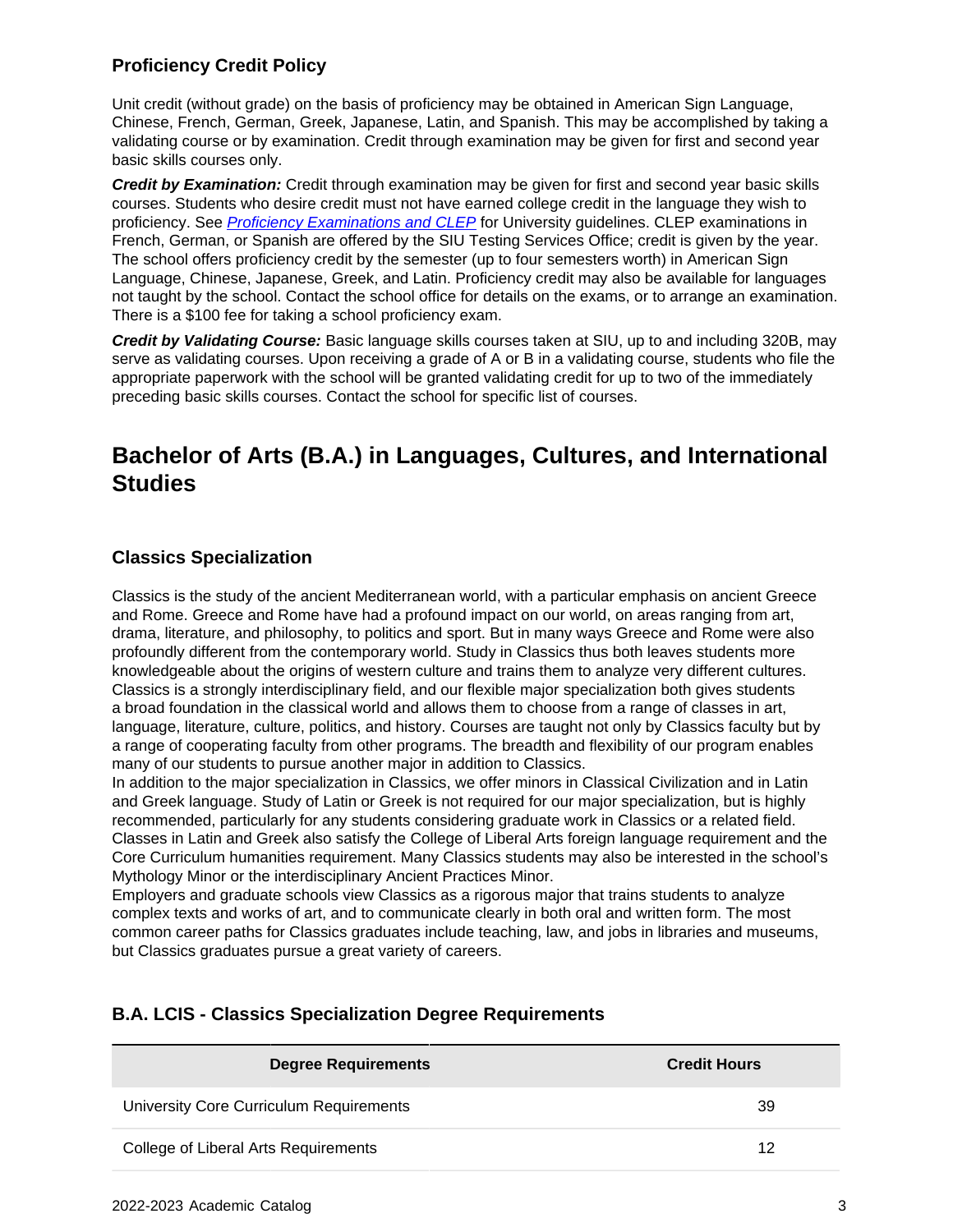### **Proficiency Credit Policy**

Unit credit (without grade) on the basis of proficiency may be obtained in American Sign Language, Chinese, French, German, Greek, Japanese, Latin, and Spanish. This may be accomplished by taking a validating course or by examination. Credit through examination may be given for first and second year basic skills courses only.

**Credit by Examination:** Credit through examination may be given for first and second year basic skills courses. Students who desire credit must not have earned college credit in the language they wish to proficiency. See **[Proficiency Examinations and CLEP](site://ZY Undergraduate Catalog june 22/admissions/alternative-credit#proficiency-exam)** for University guidelines. CLEP examinations in French, German, or Spanish are offered by the SIU Testing Services Office; credit is given by the year. The school offers proficiency credit by the semester (up to four semesters worth) in American Sign Language, Chinese, Japanese, Greek, and Latin. Proficiency credit may also be available for languages not taught by the school. Contact the school office for details on the exams, or to arrange an examination. There is a \$100 fee for taking a school proficiency exam.

**Credit by Validating Course:** Basic language skills courses taken at SIU, up to and including 320B, may serve as validating courses. Upon receiving a grade of A or B in a validating course, students who file the appropriate paperwork with the school will be granted validating credit for up to two of the immediately preceding basic skills courses. Contact the school for specific list of courses.

### **Bachelor of Arts (B.A.) in Languages, Cultures, and International Studies**

#### **Classics Specialization**

Classics is the study of the ancient Mediterranean world, with a particular emphasis on ancient Greece and Rome. Greece and Rome have had a profound impact on our world, on areas ranging from art, drama, literature, and philosophy, to politics and sport. But in many ways Greece and Rome were also profoundly different from the contemporary world. Study in Classics thus both leaves students more knowledgeable about the origins of western culture and trains them to analyze very different cultures. Classics is a strongly interdisciplinary field, and our flexible major specialization both gives students a broad foundation in the classical world and allows them to choose from a range of classes in art, language, literature, culture, politics, and history. Courses are taught not only by Classics faculty but by a range of cooperating faculty from other programs. The breadth and flexibility of our program enables many of our students to pursue another major in addition to Classics.

In addition to the major specialization in Classics, we offer minors in Classical Civilization and in Latin and Greek language. Study of Latin or Greek is not required for our major specialization, but is highly recommended, particularly for any students considering graduate work in Classics or a related field. Classes in Latin and Greek also satisfy the College of Liberal Arts foreign language requirement and the Core Curriculum humanities requirement. Many Classics students may also be interested in the school's Mythology Minor or the interdisciplinary Ancient Practices Minor.

Employers and graduate schools view Classics as a rigorous major that trains students to analyze complex texts and works of art, and to communicate clearly in both oral and written form. The most common career paths for Classics graduates include teaching, law, and jobs in libraries and museums, but Classics graduates pursue a great variety of careers.

| <b>Degree Requirements</b>              | <b>Credit Hours</b> |
|-----------------------------------------|---------------------|
| University Core Curriculum Requirements | 39                  |
| College of Liberal Arts Requirements    | 12                  |

### **B.A. LCIS - Classics Specialization Degree Requirements**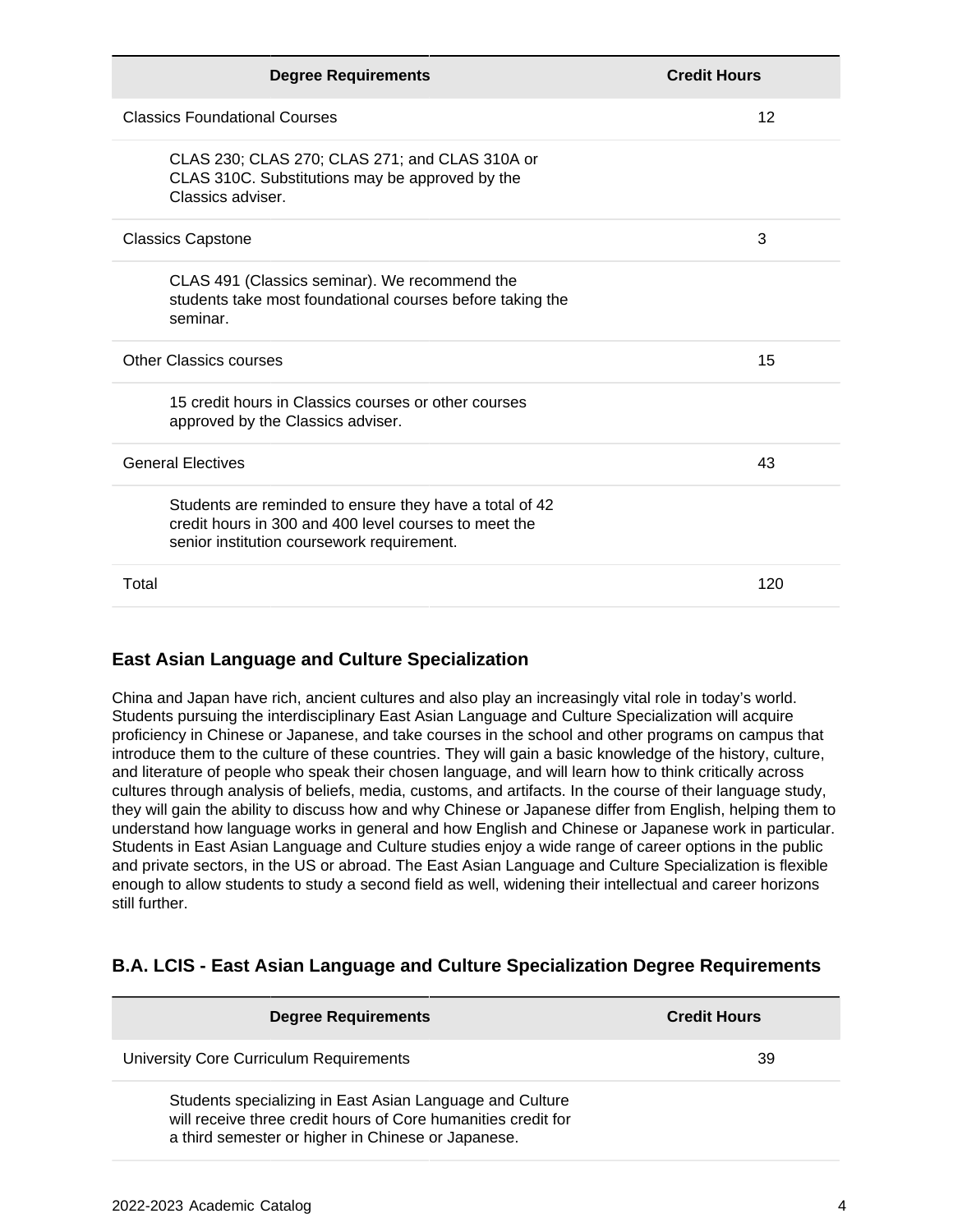| <b>Degree Requirements</b>                                                                                                                                     | <b>Credit Hours</b> |
|----------------------------------------------------------------------------------------------------------------------------------------------------------------|---------------------|
| <b>Classics Foundational Courses</b>                                                                                                                           | 12                  |
| CLAS 230; CLAS 270; CLAS 271; and CLAS 310A or<br>CLAS 310C. Substitutions may be approved by the<br>Classics adviser.                                         |                     |
| <b>Classics Capstone</b>                                                                                                                                       | 3                   |
| CLAS 491 (Classics seminar). We recommend the<br>students take most foundational courses before taking the<br>seminar.                                         |                     |
| <b>Other Classics courses</b>                                                                                                                                  | 15                  |
| 15 credit hours in Classics courses or other courses<br>approved by the Classics adviser.                                                                      |                     |
| <b>General Electives</b>                                                                                                                                       | 43                  |
| Students are reminded to ensure they have a total of 42<br>credit hours in 300 and 400 level courses to meet the<br>senior institution coursework requirement. |                     |
| Total                                                                                                                                                          | 120                 |

### **East Asian Language and Culture Specialization**

China and Japan have rich, ancient cultures and also play an increasingly vital role in today's world. Students pursuing the interdisciplinary East Asian Language and Culture Specialization will acquire proficiency in Chinese or Japanese, and take courses in the school and other programs on campus that introduce them to the culture of these countries. They will gain a basic knowledge of the history, culture, and literature of people who speak their chosen language, and will learn how to think critically across cultures through analysis of beliefs, media, customs, and artifacts. In the course of their language study, they will gain the ability to discuss how and why Chinese or Japanese differ from English, helping them to understand how language works in general and how English and Chinese or Japanese work in particular. Students in East Asian Language and Culture studies enjoy a wide range of career options in the public and private sectors, in the US or abroad. The East Asian Language and Culture Specialization is flexible enough to allow students to study a second field as well, widening their intellectual and career horizons still further.

### **B.A. LCIS - East Asian Language and Culture Specialization Degree Requirements**

| <b>Degree Requirements</b>                                                                                                                                                      | <b>Credit Hours</b> |
|---------------------------------------------------------------------------------------------------------------------------------------------------------------------------------|---------------------|
| University Core Curriculum Requirements                                                                                                                                         | 39                  |
| Students specializing in East Asian Language and Culture<br>will receive three credit hours of Core humanities credit for<br>a third semester or higher in Chinese or Japanese. |                     |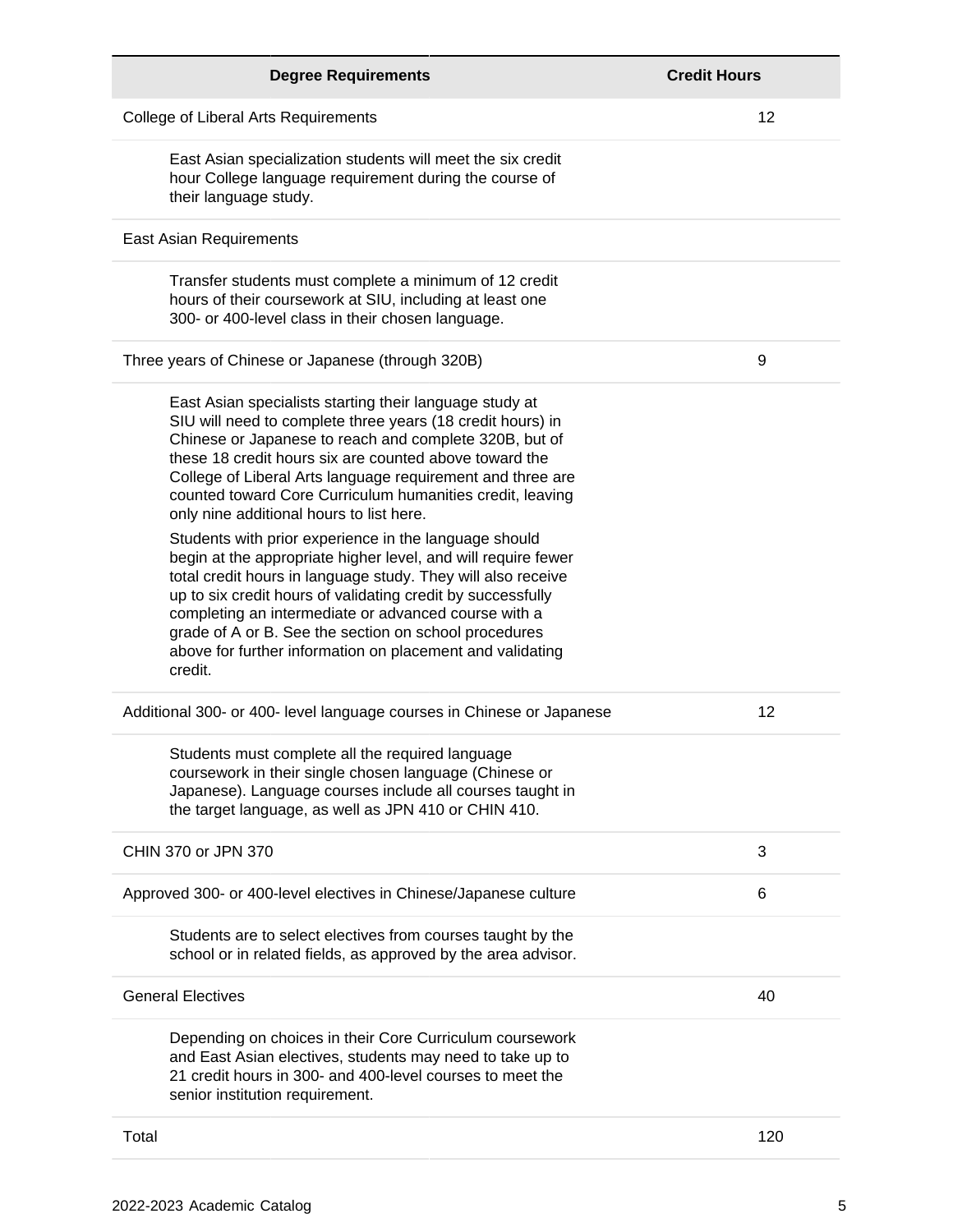| <b>Degree Requirements</b>                                                                                                                                                                                                                                                                                                                                                                                                                                                                                                                                                                                                                                                                                                                                                                                                                                         | <b>Credit Hours</b> |
|--------------------------------------------------------------------------------------------------------------------------------------------------------------------------------------------------------------------------------------------------------------------------------------------------------------------------------------------------------------------------------------------------------------------------------------------------------------------------------------------------------------------------------------------------------------------------------------------------------------------------------------------------------------------------------------------------------------------------------------------------------------------------------------------------------------------------------------------------------------------|---------------------|
| College of Liberal Arts Requirements                                                                                                                                                                                                                                                                                                                                                                                                                                                                                                                                                                                                                                                                                                                                                                                                                               | 12                  |
| East Asian specialization students will meet the six credit<br>hour College language requirement during the course of<br>their language study.                                                                                                                                                                                                                                                                                                                                                                                                                                                                                                                                                                                                                                                                                                                     |                     |
| East Asian Requirements                                                                                                                                                                                                                                                                                                                                                                                                                                                                                                                                                                                                                                                                                                                                                                                                                                            |                     |
| Transfer students must complete a minimum of 12 credit<br>hours of their coursework at SIU, including at least one<br>300- or 400-level class in their chosen language.                                                                                                                                                                                                                                                                                                                                                                                                                                                                                                                                                                                                                                                                                            |                     |
| Three years of Chinese or Japanese (through 320B)                                                                                                                                                                                                                                                                                                                                                                                                                                                                                                                                                                                                                                                                                                                                                                                                                  | 9                   |
| East Asian specialists starting their language study at<br>SIU will need to complete three years (18 credit hours) in<br>Chinese or Japanese to reach and complete 320B, but of<br>these 18 credit hours six are counted above toward the<br>College of Liberal Arts language requirement and three are<br>counted toward Core Curriculum humanities credit, leaving<br>only nine additional hours to list here.<br>Students with prior experience in the language should<br>begin at the appropriate higher level, and will require fewer<br>total credit hours in language study. They will also receive<br>up to six credit hours of validating credit by successfully<br>completing an intermediate or advanced course with a<br>grade of A or B. See the section on school procedures<br>above for further information on placement and validating<br>credit. |                     |
| Additional 300- or 400- level language courses in Chinese or Japanese                                                                                                                                                                                                                                                                                                                                                                                                                                                                                                                                                                                                                                                                                                                                                                                              | 12                  |
| Students must complete all the required language<br>coursework in their single chosen language (Chinese or<br>Japanese). Language courses include all courses taught in<br>the target language, as well as JPN 410 or CHIN 410.                                                                                                                                                                                                                                                                                                                                                                                                                                                                                                                                                                                                                                    |                     |
| CHIN 370 or JPN 370                                                                                                                                                                                                                                                                                                                                                                                                                                                                                                                                                                                                                                                                                                                                                                                                                                                | 3                   |
| Approved 300- or 400-level electives in Chinese/Japanese culture                                                                                                                                                                                                                                                                                                                                                                                                                                                                                                                                                                                                                                                                                                                                                                                                   | 6                   |
| Students are to select electives from courses taught by the<br>school or in related fields, as approved by the area advisor.                                                                                                                                                                                                                                                                                                                                                                                                                                                                                                                                                                                                                                                                                                                                       |                     |
| <b>General Electives</b>                                                                                                                                                                                                                                                                                                                                                                                                                                                                                                                                                                                                                                                                                                                                                                                                                                           | 40                  |
| Depending on choices in their Core Curriculum coursework<br>and East Asian electives, students may need to take up to<br>21 credit hours in 300- and 400-level courses to meet the<br>senior institution requirement.                                                                                                                                                                                                                                                                                                                                                                                                                                                                                                                                                                                                                                              |                     |
| Total                                                                                                                                                                                                                                                                                                                                                                                                                                                                                                                                                                                                                                                                                                                                                                                                                                                              | 120                 |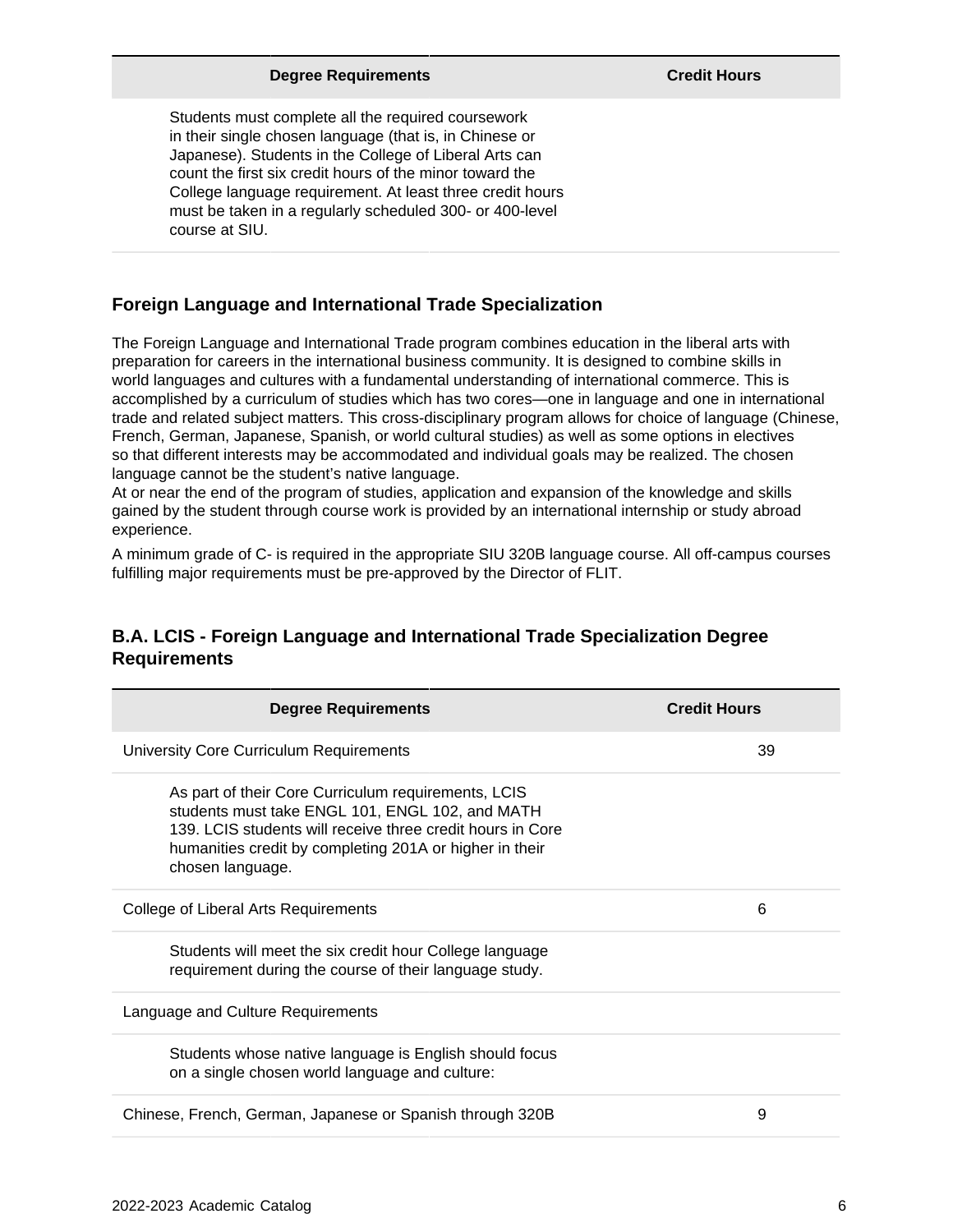Students must complete all the required coursework in their single chosen language (that is, in Chinese or Japanese). Students in the College of Liberal Arts can count the first six credit hours of the minor toward the College language requirement. At least three credit hours must be taken in a regularly scheduled 300- or 400-level course at SIU.

### **Foreign Language and International Trade Specialization**

The Foreign Language and International Trade program combines education in the liberal arts with preparation for careers in the international business community. It is designed to combine skills in world languages and cultures with a fundamental understanding of international commerce. This is accomplished by a curriculum of studies which has two cores—one in language and one in international trade and related subject matters. This cross-disciplinary program allows for choice of language (Chinese, French, German, Japanese, Spanish, or world cultural studies) as well as some options in electives so that different interests may be accommodated and individual goals may be realized. The chosen language cannot be the student's native language.

At or near the end of the program of studies, application and expansion of the knowledge and skills gained by the student through course work is provided by an international internship or study abroad experience.

A minimum grade of C- is required in the appropriate SIU 320B language course. All off-campus courses fulfilling major requirements must be pre-approved by the Director of FLIT.

### **B.A. LCIS - Foreign Language and International Trade Specialization Degree Requirements**

| <b>Degree Requirements</b>                                                                                                                                                                                                                          | <b>Credit Hours</b> |
|-----------------------------------------------------------------------------------------------------------------------------------------------------------------------------------------------------------------------------------------------------|---------------------|
| University Core Curriculum Requirements                                                                                                                                                                                                             | 39                  |
| As part of their Core Curriculum requirements, LCIS<br>students must take ENGL 101, ENGL 102, and MATH<br>139. LCIS students will receive three credit hours in Core<br>humanities credit by completing 201A or higher in their<br>chosen language. |                     |
| College of Liberal Arts Requirements                                                                                                                                                                                                                | 6                   |
| Students will meet the six credit hour College language<br>requirement during the course of their language study.                                                                                                                                   |                     |
| Language and Culture Requirements                                                                                                                                                                                                                   |                     |
| Students whose native language is English should focus<br>on a single chosen world language and culture:                                                                                                                                            |                     |
| Chinese, French, German, Japanese or Spanish through 320B                                                                                                                                                                                           | 9                   |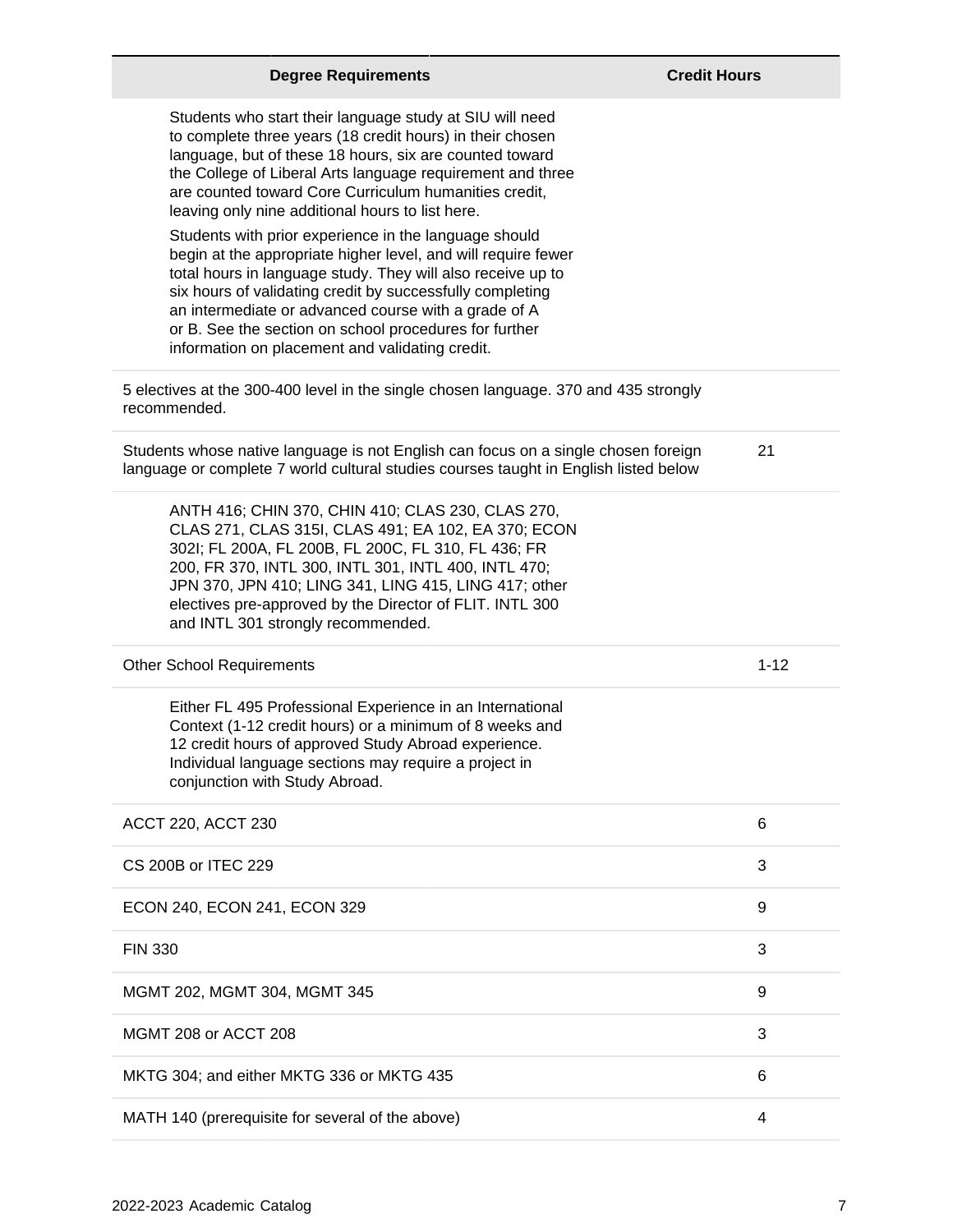| <b>Degree Requirements</b>                                                                                                                                                                                                                                                                                                                                                                                                                                                                                                                                                                                                                                                                                                                                                             | <b>Credit Hours</b> |
|----------------------------------------------------------------------------------------------------------------------------------------------------------------------------------------------------------------------------------------------------------------------------------------------------------------------------------------------------------------------------------------------------------------------------------------------------------------------------------------------------------------------------------------------------------------------------------------------------------------------------------------------------------------------------------------------------------------------------------------------------------------------------------------|---------------------|
| Students who start their language study at SIU will need<br>to complete three years (18 credit hours) in their chosen<br>language, but of these 18 hours, six are counted toward<br>the College of Liberal Arts language requirement and three<br>are counted toward Core Curriculum humanities credit,<br>leaving only nine additional hours to list here.<br>Students with prior experience in the language should<br>begin at the appropriate higher level, and will require fewer<br>total hours in language study. They will also receive up to<br>six hours of validating credit by successfully completing<br>an intermediate or advanced course with a grade of A<br>or B. See the section on school procedures for further<br>information on placement and validating credit. |                     |
| 5 electives at the 300-400 level in the single chosen language. 370 and 435 strongly<br>recommended.                                                                                                                                                                                                                                                                                                                                                                                                                                                                                                                                                                                                                                                                                   |                     |
| Students whose native language is not English can focus on a single chosen foreign<br>language or complete 7 world cultural studies courses taught in English listed below                                                                                                                                                                                                                                                                                                                                                                                                                                                                                                                                                                                                             | 21                  |
| ANTH 416; CHIN 370, CHIN 410; CLAS 230, CLAS 270,<br>CLAS 271, CLAS 315I, CLAS 491; EA 102, EA 370; ECON<br>302I; FL 200A, FL 200B, FL 200C, FL 310, FL 436; FR<br>200, FR 370, INTL 300, INTL 301, INTL 400, INTL 470;<br>JPN 370, JPN 410; LING 341, LING 415, LING 417; other<br>electives pre-approved by the Director of FLIT. INTL 300<br>and INTL 301 strongly recommended.                                                                                                                                                                                                                                                                                                                                                                                                     |                     |
| <b>Other School Requirements</b>                                                                                                                                                                                                                                                                                                                                                                                                                                                                                                                                                                                                                                                                                                                                                       | $1 - 12$            |
| Either FL 495 Professional Experience in an International<br>Context (1-12 credit hours) or a minimum of 8 weeks and<br>12 credit hours of approved Study Abroad experience.<br>Individual language sections may require a project in<br>conjunction with Study Abroad.                                                                                                                                                                                                                                                                                                                                                                                                                                                                                                                |                     |
| ACCT 220, ACCT 230                                                                                                                                                                                                                                                                                                                                                                                                                                                                                                                                                                                                                                                                                                                                                                     | 6                   |
| CS 200B or ITEC 229                                                                                                                                                                                                                                                                                                                                                                                                                                                                                                                                                                                                                                                                                                                                                                    | 3                   |
| ECON 240, ECON 241, ECON 329                                                                                                                                                                                                                                                                                                                                                                                                                                                                                                                                                                                                                                                                                                                                                           | 9                   |
| <b>FIN 330</b>                                                                                                                                                                                                                                                                                                                                                                                                                                                                                                                                                                                                                                                                                                                                                                         | 3                   |
| MGMT 202, MGMT 304, MGMT 345                                                                                                                                                                                                                                                                                                                                                                                                                                                                                                                                                                                                                                                                                                                                                           | 9                   |
| MGMT 208 or ACCT 208                                                                                                                                                                                                                                                                                                                                                                                                                                                                                                                                                                                                                                                                                                                                                                   | 3                   |
| MKTG 304; and either MKTG 336 or MKTG 435                                                                                                                                                                                                                                                                                                                                                                                                                                                                                                                                                                                                                                                                                                                                              | 6                   |
| MATH 140 (prerequisite for several of the above)                                                                                                                                                                                                                                                                                                                                                                                                                                                                                                                                                                                                                                                                                                                                       | 4                   |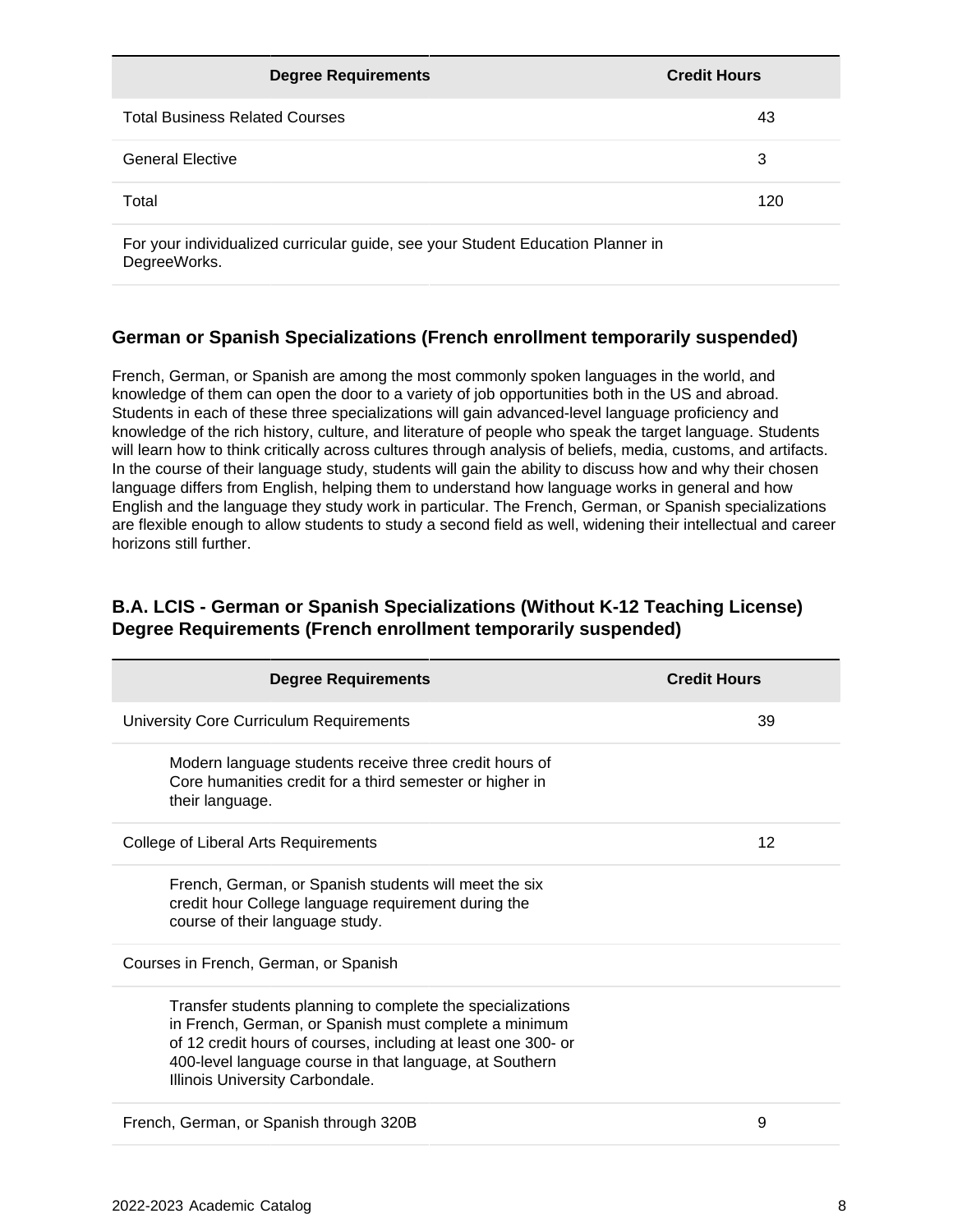| <b>Degree Requirements</b>                                                      | <b>Credit Hours</b> |
|---------------------------------------------------------------------------------|---------------------|
| <b>Total Business Related Courses</b>                                           | 43                  |
| <b>General Elective</b>                                                         | 3                   |
| Total                                                                           | 120                 |
| For your individualized curricular guide, see your Student Education Planner in |                     |

DegreeWorks.

### **German or Spanish Specializations (French enrollment temporarily suspended)**

French, German, or Spanish are among the most commonly spoken languages in the world, and knowledge of them can open the door to a variety of job opportunities both in the US and abroad. Students in each of these three specializations will gain advanced-level language proficiency and knowledge of the rich history, culture, and literature of people who speak the target language. Students will learn how to think critically across cultures through analysis of beliefs, media, customs, and artifacts. In the course of their language study, students will gain the ability to discuss how and why their chosen language differs from English, helping them to understand how language works in general and how English and the language they study work in particular. The French, German, or Spanish specializations are flexible enough to allow students to study a second field as well, widening their intellectual and career horizons still further.

| <b>Degree Requirements</b>                                                                                                                                                                                                                                                         | <b>Credit Hours</b> |
|------------------------------------------------------------------------------------------------------------------------------------------------------------------------------------------------------------------------------------------------------------------------------------|---------------------|
| University Core Curriculum Requirements                                                                                                                                                                                                                                            | 39                  |
| Modern language students receive three credit hours of<br>Core humanities credit for a third semester or higher in<br>their language.                                                                                                                                              |                     |
| College of Liberal Arts Requirements                                                                                                                                                                                                                                               | 12                  |
| French, German, or Spanish students will meet the six<br>credit hour College language requirement during the<br>course of their language study.                                                                                                                                    |                     |
| Courses in French, German, or Spanish                                                                                                                                                                                                                                              |                     |
| Transfer students planning to complete the specializations<br>in French, German, or Spanish must complete a minimum<br>of 12 credit hours of courses, including at least one 300- or<br>400-level language course in that language, at Southern<br>Illinois University Carbondale. |                     |
| French, German, or Spanish through 320B                                                                                                                                                                                                                                            | 9                   |

#### **B.A. LCIS - German or Spanish Specializations (Without K-12 Teaching License) Degree Requirements (French enrollment temporarily suspended)**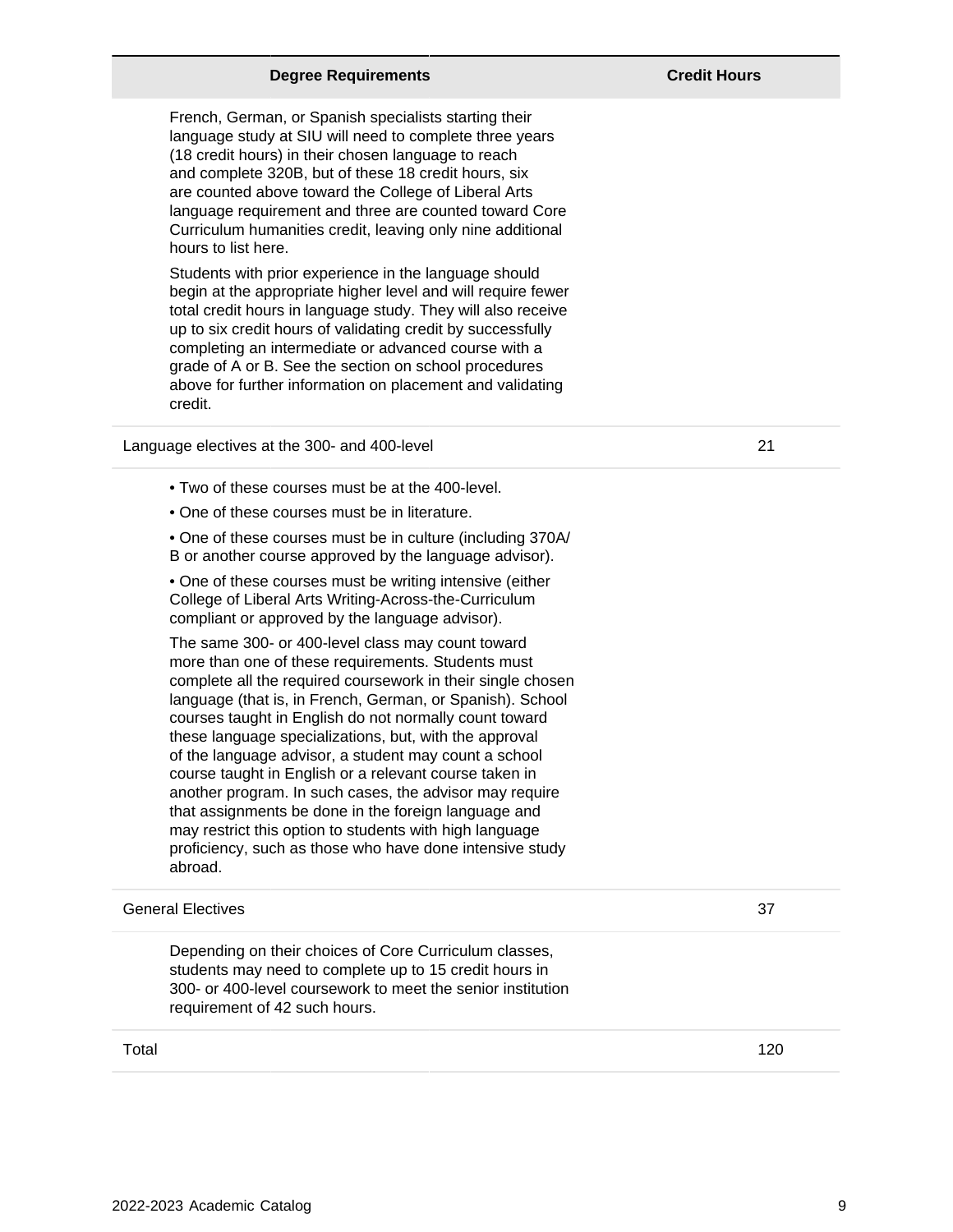#### **Degree Requirements Credit Hours**

French, German, or Spanish specialists starting their language study at SIU will need to complete three years (18 credit hours) in their chosen language to reach and complete 320B, but of these 18 credit hours, six are counted above toward the College of Liberal Arts language requirement and three are counted toward Core Curriculum humanities credit, leaving only nine additional hours to list here.

Students with prior experience in the language should begin at the appropriate higher level and will require fewer total credit hours in language study. They will also receive up to six credit hours of validating credit by successfully completing an intermediate or advanced course with a grade of A or B. See the section on school procedures above for further information on placement and validating credit.

Language electives at the 300- and 400-level 200 and 21

- Two of these courses must be at the 400-level.
- One of these courses must be in literature.

• One of these courses must be in culture (including 370A/ B or another course approved by the language advisor).

• One of these courses must be writing intensive (either College of Liberal Arts Writing-Across-the-Curriculum compliant or approved by the language advisor).

The same 300- or 400-level class may count toward more than one of these requirements. Students must complete all the required coursework in their single chosen language (that is, in French, German, or Spanish). School courses taught in English do not normally count toward these language specializations, but, with the approval of the language advisor, a student may count a school course taught in English or a relevant course taken in another program. In such cases, the advisor may require that assignments be done in the foreign language and may restrict this option to students with high language proficiency, such as those who have done intensive study abroad.

#### General Electives 37

Depending on their choices of Core Curriculum classes, students may need to complete up to 15 credit hours in 300- or 400-level coursework to meet the senior institution requirement of 42 such hours.

#### Total 120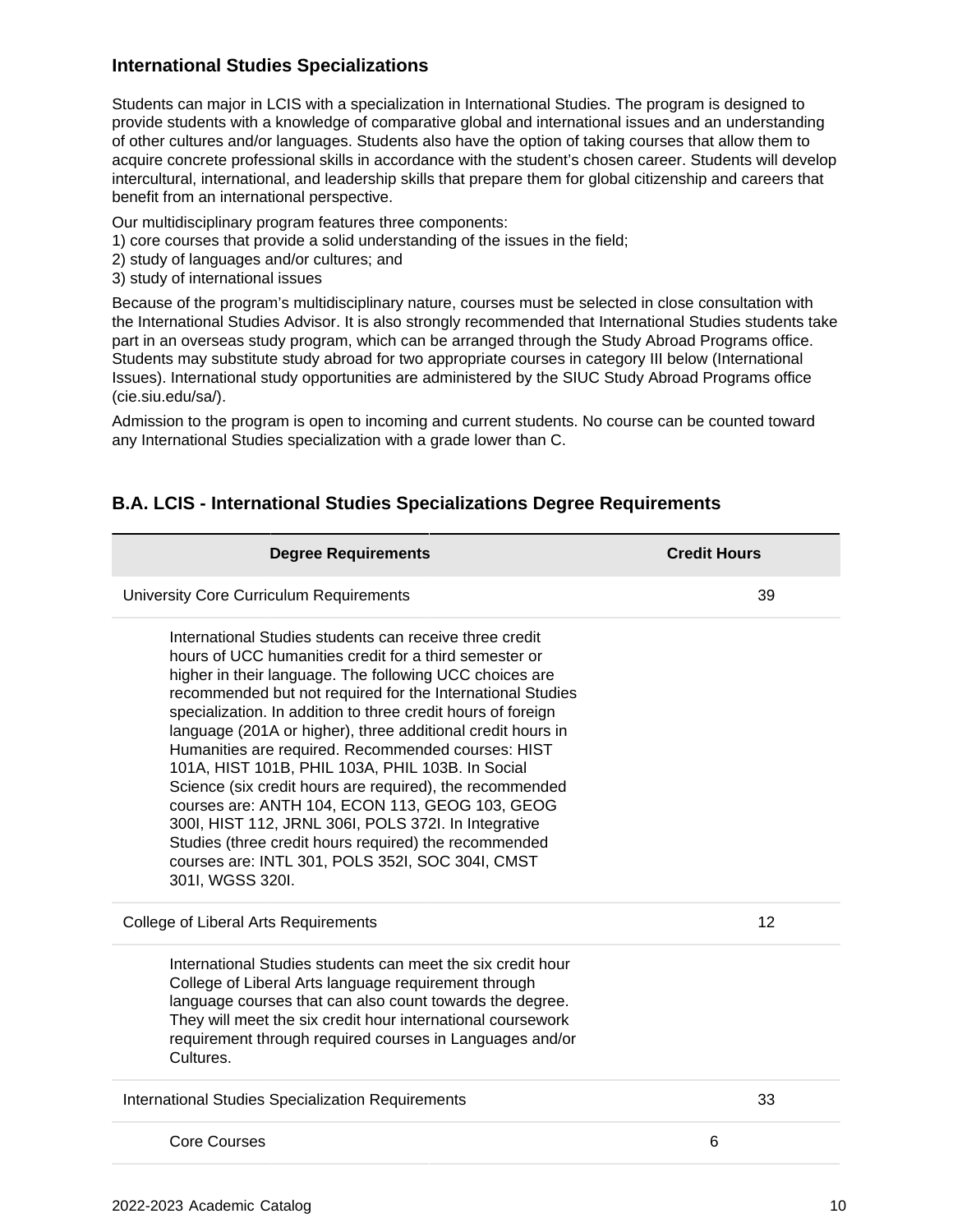#### **International Studies Specializations**

Students can major in LCIS with a specialization in International Studies. The program is designed to provide students with a knowledge of comparative global and international issues and an understanding of other cultures and/or languages. Students also have the option of taking courses that allow them to acquire concrete professional skills in accordance with the student's chosen career. Students will develop intercultural, international, and leadership skills that prepare them for global citizenship and careers that benefit from an international perspective.

Our multidisciplinary program features three components:

- 1) core courses that provide a solid understanding of the issues in the field;
- 2) study of languages and/or cultures; and
- 3) study of international issues

Because of the program's multidisciplinary nature, courses must be selected in close consultation with the International Studies Advisor. It is also strongly recommended that International Studies students take part in an overseas study program, which can be arranged through the Study Abroad Programs office. Students may substitute study abroad for two appropriate courses in category III below (International Issues). International study opportunities are administered by the SIUC Study Abroad Programs office (cie.siu.edu/sa/).

Admission to the program is open to incoming and current students. No course can be counted toward any International Studies specialization with a grade lower than C.

| <b>Degree Requirements</b>                                                                                                                                                                                                                                                                                                                                                                                                                                                                                                                                                                                                                                                                                                                                                                  | <b>Credit Hours</b> |
|---------------------------------------------------------------------------------------------------------------------------------------------------------------------------------------------------------------------------------------------------------------------------------------------------------------------------------------------------------------------------------------------------------------------------------------------------------------------------------------------------------------------------------------------------------------------------------------------------------------------------------------------------------------------------------------------------------------------------------------------------------------------------------------------|---------------------|
| University Core Curriculum Requirements                                                                                                                                                                                                                                                                                                                                                                                                                                                                                                                                                                                                                                                                                                                                                     | 39                  |
| International Studies students can receive three credit<br>hours of UCC humanities credit for a third semester or<br>higher in their language. The following UCC choices are<br>recommended but not required for the International Studies<br>specialization. In addition to three credit hours of foreign<br>language (201A or higher), three additional credit hours in<br>Humanities are required. Recommended courses: HIST<br>101A, HIST 101B, PHIL 103A, PHIL 103B. In Social<br>Science (six credit hours are required), the recommended<br>courses are: ANTH 104, ECON 113, GEOG 103, GEOG<br>300I, HIST 112, JRNL 306I, POLS 372I. In Integrative<br>Studies (three credit hours required) the recommended<br>courses are: INTL 301, POLS 352I, SOC 304I, CMST<br>301I, WGSS 320I. |                     |
| College of Liberal Arts Requirements                                                                                                                                                                                                                                                                                                                                                                                                                                                                                                                                                                                                                                                                                                                                                        | 12                  |
| International Studies students can meet the six credit hour<br>College of Liberal Arts language requirement through<br>language courses that can also count towards the degree.<br>They will meet the six credit hour international coursework<br>requirement through required courses in Languages and/or<br>Cultures.                                                                                                                                                                                                                                                                                                                                                                                                                                                                     |                     |
| International Studies Specialization Requirements                                                                                                                                                                                                                                                                                                                                                                                                                                                                                                                                                                                                                                                                                                                                           | 33                  |
| <b>Core Courses</b>                                                                                                                                                                                                                                                                                                                                                                                                                                                                                                                                                                                                                                                                                                                                                                         | 6                   |
|                                                                                                                                                                                                                                                                                                                                                                                                                                                                                                                                                                                                                                                                                                                                                                                             |                     |

#### **B.A. LCIS - International Studies Specializations Degree Requirements**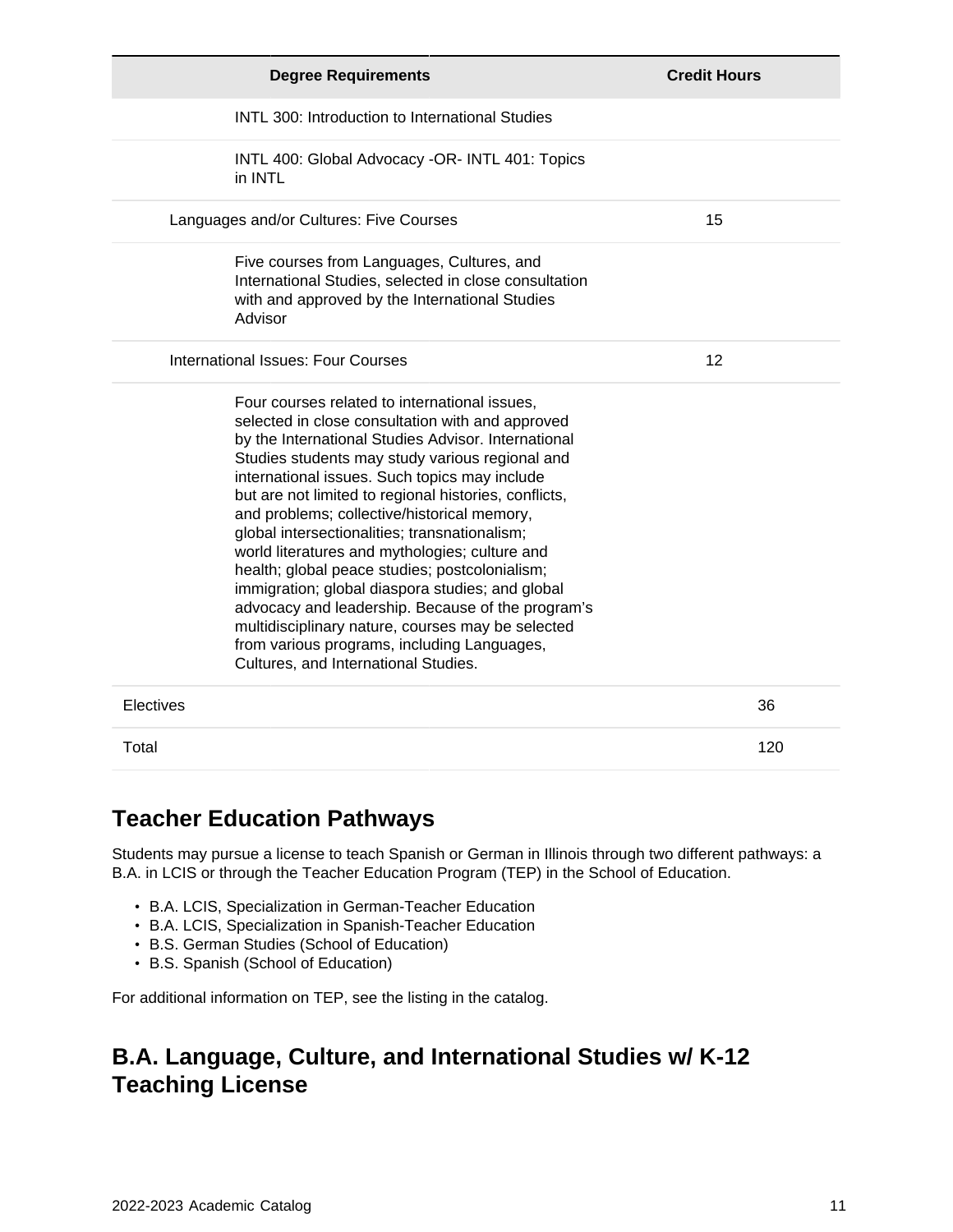| <b>Degree Requirements</b>                                                                                                                                                                                                                                                                                                                                                                                                                                                                                                                                                                                                                                                                                                                                                     | <b>Credit Hours</b> |
|--------------------------------------------------------------------------------------------------------------------------------------------------------------------------------------------------------------------------------------------------------------------------------------------------------------------------------------------------------------------------------------------------------------------------------------------------------------------------------------------------------------------------------------------------------------------------------------------------------------------------------------------------------------------------------------------------------------------------------------------------------------------------------|---------------------|
| INTL 300: Introduction to International Studies                                                                                                                                                                                                                                                                                                                                                                                                                                                                                                                                                                                                                                                                                                                                |                     |
| INTL 400: Global Advocacy -OR- INTL 401: Topics<br>in INTL                                                                                                                                                                                                                                                                                                                                                                                                                                                                                                                                                                                                                                                                                                                     |                     |
| Languages and/or Cultures: Five Courses                                                                                                                                                                                                                                                                                                                                                                                                                                                                                                                                                                                                                                                                                                                                        | 15                  |
| Five courses from Languages, Cultures, and<br>International Studies, selected in close consultation<br>with and approved by the International Studies<br>Advisor                                                                                                                                                                                                                                                                                                                                                                                                                                                                                                                                                                                                               |                     |
| <b>International Issues: Four Courses</b>                                                                                                                                                                                                                                                                                                                                                                                                                                                                                                                                                                                                                                                                                                                                      | 12                  |
| Four courses related to international issues,<br>selected in close consultation with and approved<br>by the International Studies Advisor. International<br>Studies students may study various regional and<br>international issues. Such topics may include<br>but are not limited to regional histories, conflicts,<br>and problems; collective/historical memory,<br>global intersectionalities; transnationalism;<br>world literatures and mythologies; culture and<br>health; global peace studies; postcolonialism;<br>immigration; global diaspora studies; and global<br>advocacy and leadership. Because of the program's<br>multidisciplinary nature, courses may be selected<br>from various programs, including Languages,<br>Cultures, and International Studies. |                     |
| Electives                                                                                                                                                                                                                                                                                                                                                                                                                                                                                                                                                                                                                                                                                                                                                                      | 36                  |
| Total                                                                                                                                                                                                                                                                                                                                                                                                                                                                                                                                                                                                                                                                                                                                                                          | 120                 |

### **Teacher Education Pathways**

Students may pursue a license to teach Spanish or German in Illinois through two different pathways: a B.A. in LCIS or through the Teacher Education Program (TEP) in the School of Education.

- B.A. LCIS, Specialization in German-Teacher Education
- B.A. LCIS, Specialization in Spanish-Teacher Education
- B.S. German Studies (School of Education)
- B.S. Spanish (School of Education)

For additional information on TEP, see the listing in the catalog.

## **B.A. Language, Culture, and International Studies w/ K-12 Teaching License**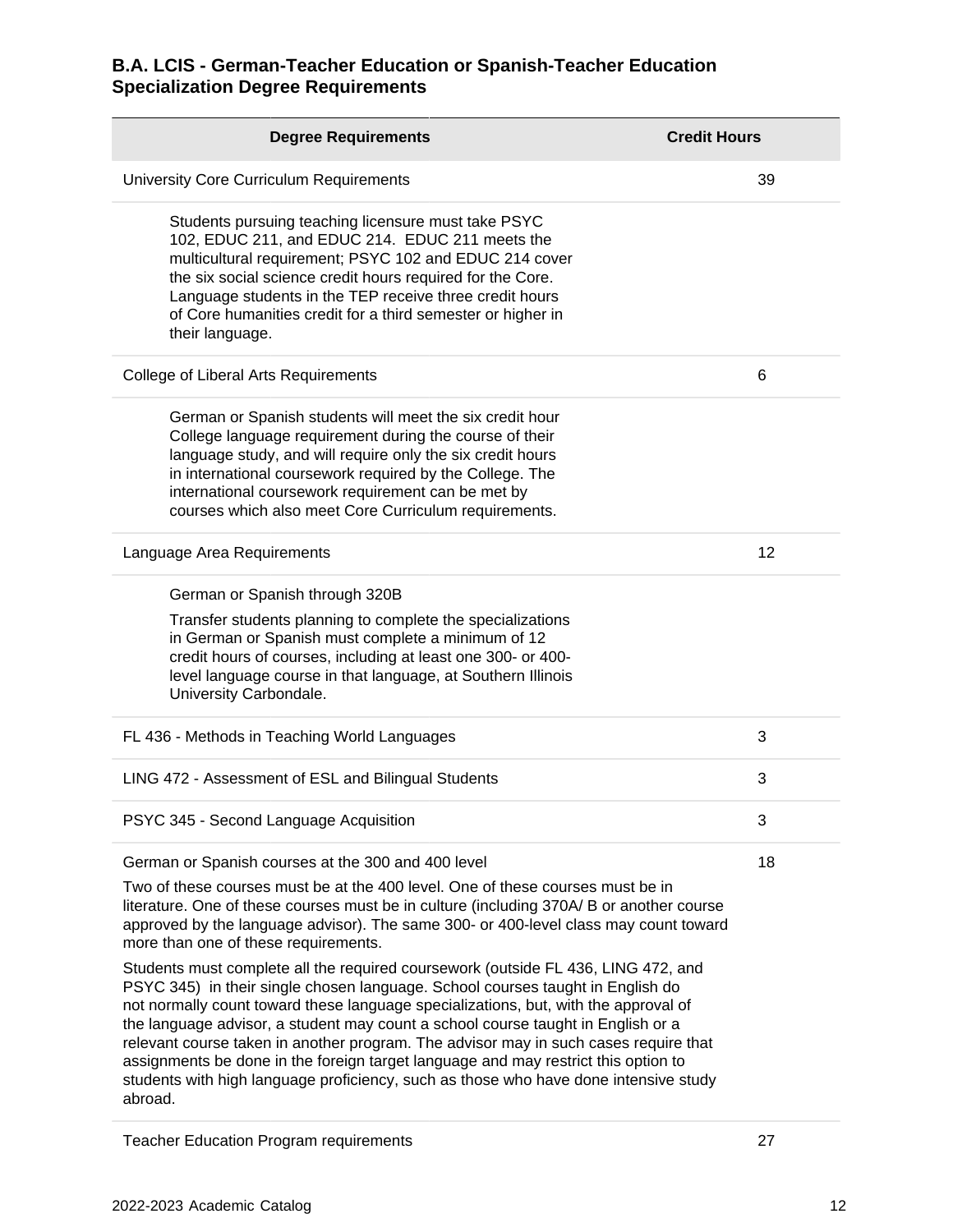### **B.A. LCIS - German-Teacher Education or Spanish-Teacher Education Specialization Degree Requirements**

| <b>Degree Requirements</b>                                                                                                                                                                                                                                                                                                                                                                                                                                                                                                                                                                                                      | <b>Credit Hours</b> |
|---------------------------------------------------------------------------------------------------------------------------------------------------------------------------------------------------------------------------------------------------------------------------------------------------------------------------------------------------------------------------------------------------------------------------------------------------------------------------------------------------------------------------------------------------------------------------------------------------------------------------------|---------------------|
| University Core Curriculum Requirements                                                                                                                                                                                                                                                                                                                                                                                                                                                                                                                                                                                         | 39                  |
| Students pursuing teaching licensure must take PSYC<br>102, EDUC 211, and EDUC 214. EDUC 211 meets the<br>multicultural requirement; PSYC 102 and EDUC 214 cover<br>the six social science credit hours required for the Core.<br>Language students in the TEP receive three credit hours<br>of Core humanities credit for a third semester or higher in<br>their language.                                                                                                                                                                                                                                                     |                     |
| College of Liberal Arts Requirements                                                                                                                                                                                                                                                                                                                                                                                                                                                                                                                                                                                            | 6                   |
| German or Spanish students will meet the six credit hour<br>College language requirement during the course of their<br>language study, and will require only the six credit hours<br>in international coursework required by the College. The<br>international coursework requirement can be met by<br>courses which also meet Core Curriculum requirements.                                                                                                                                                                                                                                                                    |                     |
| Language Area Requirements                                                                                                                                                                                                                                                                                                                                                                                                                                                                                                                                                                                                      | 12                  |
| German or Spanish through 320B                                                                                                                                                                                                                                                                                                                                                                                                                                                                                                                                                                                                  |                     |
| Transfer students planning to complete the specializations<br>in German or Spanish must complete a minimum of 12<br>credit hours of courses, including at least one 300- or 400-<br>level language course in that language, at Southern Illinois<br>University Carbondale.                                                                                                                                                                                                                                                                                                                                                      |                     |
| FL 436 - Methods in Teaching World Languages                                                                                                                                                                                                                                                                                                                                                                                                                                                                                                                                                                                    | 3                   |
| LING 472 - Assessment of ESL and Bilingual Students                                                                                                                                                                                                                                                                                                                                                                                                                                                                                                                                                                             | 3                   |
| PSYC 345 - Second Language Acquisition                                                                                                                                                                                                                                                                                                                                                                                                                                                                                                                                                                                          | 3                   |
| German or Spanish courses at the 300 and 400 level                                                                                                                                                                                                                                                                                                                                                                                                                                                                                                                                                                              | 18                  |
| Two of these courses must be at the 400 level. One of these courses must be in<br>literature. One of these courses must be in culture (including 370A/B or another course<br>approved by the language advisor). The same 300- or 400-level class may count toward<br>more than one of these requirements.                                                                                                                                                                                                                                                                                                                       |                     |
| Students must complete all the required coursework (outside FL 436, LING 472, and<br>PSYC 345) in their single chosen language. School courses taught in English do<br>not normally count toward these language specializations, but, with the approval of<br>the language advisor, a student may count a school course taught in English or a<br>relevant course taken in another program. The advisor may in such cases require that<br>assignments be done in the foreign target language and may restrict this option to<br>students with high language proficiency, such as those who have done intensive study<br>abroad. |                     |

Teacher Education Program requirements 27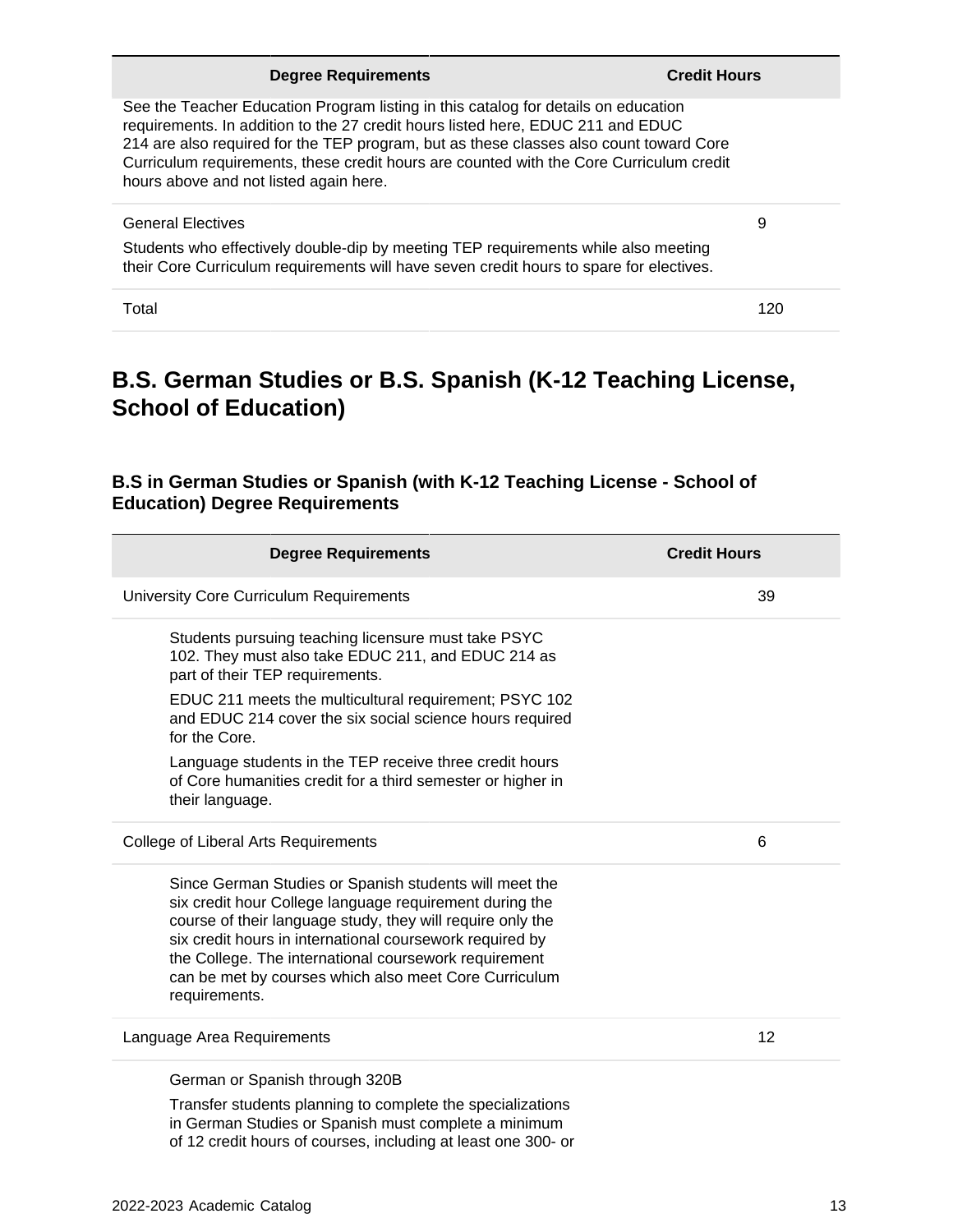| <b>Degree Requirements</b>                                                                                                                                                                                                                                                                                                                                                                           | <b>Credit Hours</b> |
|------------------------------------------------------------------------------------------------------------------------------------------------------------------------------------------------------------------------------------------------------------------------------------------------------------------------------------------------------------------------------------------------------|---------------------|
| See the Teacher Education Program listing in this catalog for details on education<br>requirements. In addition to the 27 credit hours listed here, EDUC 211 and EDUC<br>214 are also required for the TEP program, but as these classes also count toward Core<br>Curriculum requirements, these credit hours are counted with the Core Curriculum credit<br>hours above and not listed again here. |                     |
| <b>General Electives</b><br>Students who effectively double-dip by meeting TEP requirements while also meeting<br>their Core Curriculum requirements will have seven credit hours to spare for electives.                                                                                                                                                                                            | 9                   |
| Total                                                                                                                                                                                                                                                                                                                                                                                                | 120                 |

# **B.S. German Studies or B.S. Spanish (K-12 Teaching License, School of Education)**

### **B.S in German Studies or Spanish (with K-12 Teaching License - School of Education) Degree Requirements**

| <b>Degree Requirements</b>                                                                                                                                                                                                                                                                                                                                                     | <b>Credit Hours</b> |
|--------------------------------------------------------------------------------------------------------------------------------------------------------------------------------------------------------------------------------------------------------------------------------------------------------------------------------------------------------------------------------|---------------------|
| University Core Curriculum Requirements                                                                                                                                                                                                                                                                                                                                        | 39                  |
| Students pursuing teaching licensure must take PSYC<br>102. They must also take EDUC 211, and EDUC 214 as<br>part of their TEP requirements.                                                                                                                                                                                                                                   |                     |
| EDUC 211 meets the multicultural requirement; PSYC 102<br>and EDUC 214 cover the six social science hours required<br>for the Core.                                                                                                                                                                                                                                            |                     |
| Language students in the TEP receive three credit hours<br>of Core humanities credit for a third semester or higher in<br>their language.                                                                                                                                                                                                                                      |                     |
| <b>College of Liberal Arts Requirements</b>                                                                                                                                                                                                                                                                                                                                    | 6                   |
| Since German Studies or Spanish students will meet the<br>six credit hour College language requirement during the<br>course of their language study, they will require only the<br>six credit hours in international coursework required by<br>the College. The international coursework requirement<br>can be met by courses which also meet Core Curriculum<br>requirements. |                     |
| Language Area Requirements                                                                                                                                                                                                                                                                                                                                                     | 12                  |
| German or Spanish through 320B                                                                                                                                                                                                                                                                                                                                                 |                     |
| Transfer students planning to complete the specializations<br>in German Studies or Spanish must complete a minimum<br>of 12 credit hours of courses, including at least one 300- or                                                                                                                                                                                            |                     |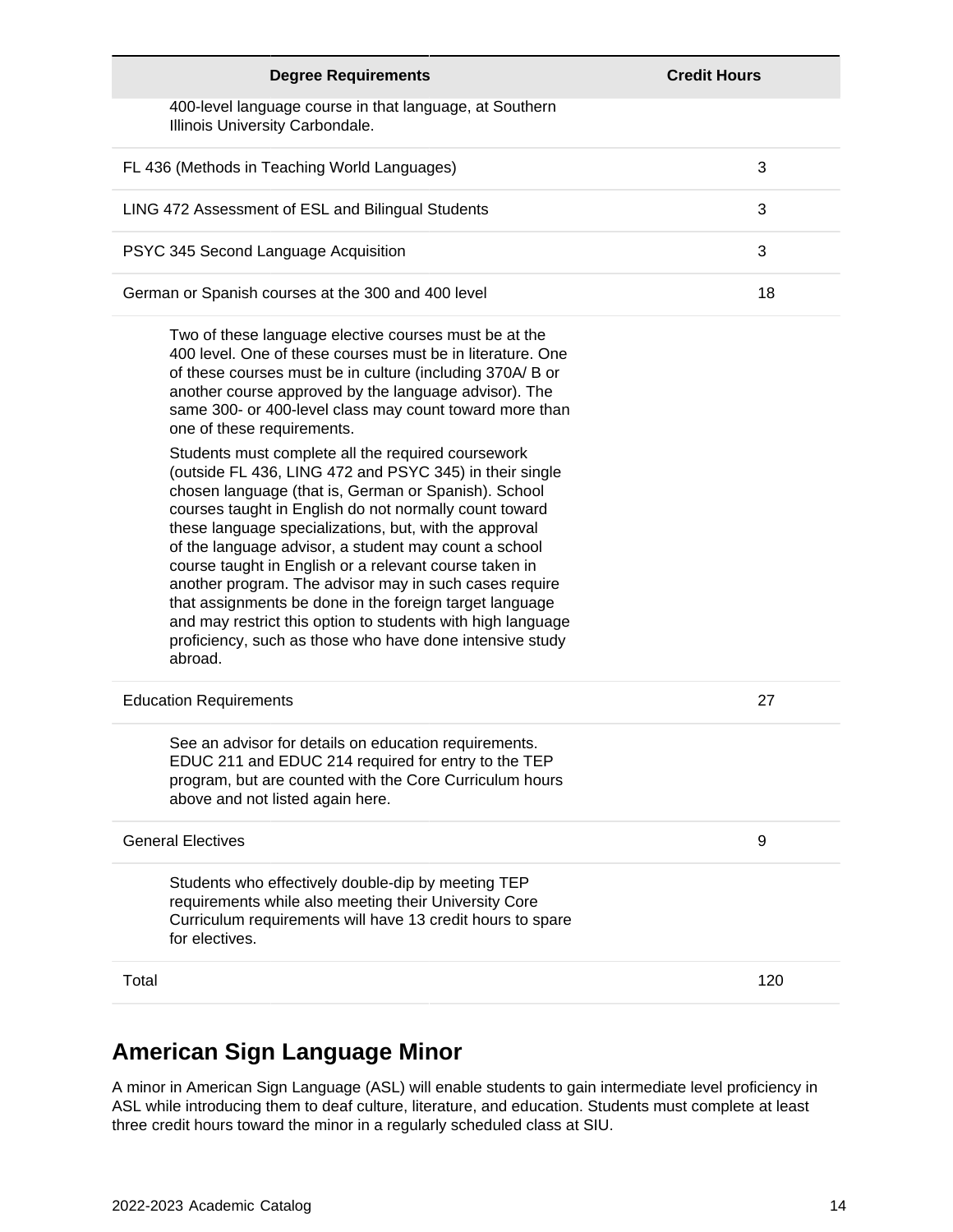| <b>Degree Requirements</b>                                                                                                                                                                                                                                                                                                                                                                                                                                                                                                                                                                                                                                                                                                                                                                                                                                                                                                                                                                                    | <b>Credit Hours</b> |
|---------------------------------------------------------------------------------------------------------------------------------------------------------------------------------------------------------------------------------------------------------------------------------------------------------------------------------------------------------------------------------------------------------------------------------------------------------------------------------------------------------------------------------------------------------------------------------------------------------------------------------------------------------------------------------------------------------------------------------------------------------------------------------------------------------------------------------------------------------------------------------------------------------------------------------------------------------------------------------------------------------------|---------------------|
| 400-level language course in that language, at Southern<br>Illinois University Carbondale.                                                                                                                                                                                                                                                                                                                                                                                                                                                                                                                                                                                                                                                                                                                                                                                                                                                                                                                    |                     |
| FL 436 (Methods in Teaching World Languages)                                                                                                                                                                                                                                                                                                                                                                                                                                                                                                                                                                                                                                                                                                                                                                                                                                                                                                                                                                  | 3                   |
| LING 472 Assessment of ESL and Bilingual Students                                                                                                                                                                                                                                                                                                                                                                                                                                                                                                                                                                                                                                                                                                                                                                                                                                                                                                                                                             | 3                   |
| PSYC 345 Second Language Acquisition                                                                                                                                                                                                                                                                                                                                                                                                                                                                                                                                                                                                                                                                                                                                                                                                                                                                                                                                                                          | 3                   |
| German or Spanish courses at the 300 and 400 level                                                                                                                                                                                                                                                                                                                                                                                                                                                                                                                                                                                                                                                                                                                                                                                                                                                                                                                                                            | 18                  |
| Two of these language elective courses must be at the<br>400 level. One of these courses must be in literature. One<br>of these courses must be in culture (including 370A/ B or<br>another course approved by the language advisor). The<br>same 300- or 400-level class may count toward more than<br>one of these requirements.<br>Students must complete all the required coursework<br>(outside FL 436, LING 472 and PSYC 345) in their single<br>chosen language (that is, German or Spanish). School<br>courses taught in English do not normally count toward<br>these language specializations, but, with the approval<br>of the language advisor, a student may count a school<br>course taught in English or a relevant course taken in<br>another program. The advisor may in such cases require<br>that assignments be done in the foreign target language<br>and may restrict this option to students with high language<br>proficiency, such as those who have done intensive study<br>abroad. |                     |
| <b>Education Requirements</b>                                                                                                                                                                                                                                                                                                                                                                                                                                                                                                                                                                                                                                                                                                                                                                                                                                                                                                                                                                                 | 27                  |
| See an advisor for details on education requirements.<br>EDUC 211 and EDUC 214 required for entry to the TEP<br>program, but are counted with the Core Curriculum hours<br>above and not listed again here.                                                                                                                                                                                                                                                                                                                                                                                                                                                                                                                                                                                                                                                                                                                                                                                                   |                     |
| <b>General Electives</b>                                                                                                                                                                                                                                                                                                                                                                                                                                                                                                                                                                                                                                                                                                                                                                                                                                                                                                                                                                                      | 9                   |
| Students who effectively double-dip by meeting TEP<br>requirements while also meeting their University Core<br>Curriculum requirements will have 13 credit hours to spare<br>for electives.                                                                                                                                                                                                                                                                                                                                                                                                                                                                                                                                                                                                                                                                                                                                                                                                                   |                     |
| Total                                                                                                                                                                                                                                                                                                                                                                                                                                                                                                                                                                                                                                                                                                                                                                                                                                                                                                                                                                                                         | 120                 |

# **American Sign Language Minor**

A minor in American Sign Language (ASL) will enable students to gain intermediate level proficiency in ASL while introducing them to deaf culture, literature, and education. Students must complete at least three credit hours toward the minor in a regularly scheduled class at SIU.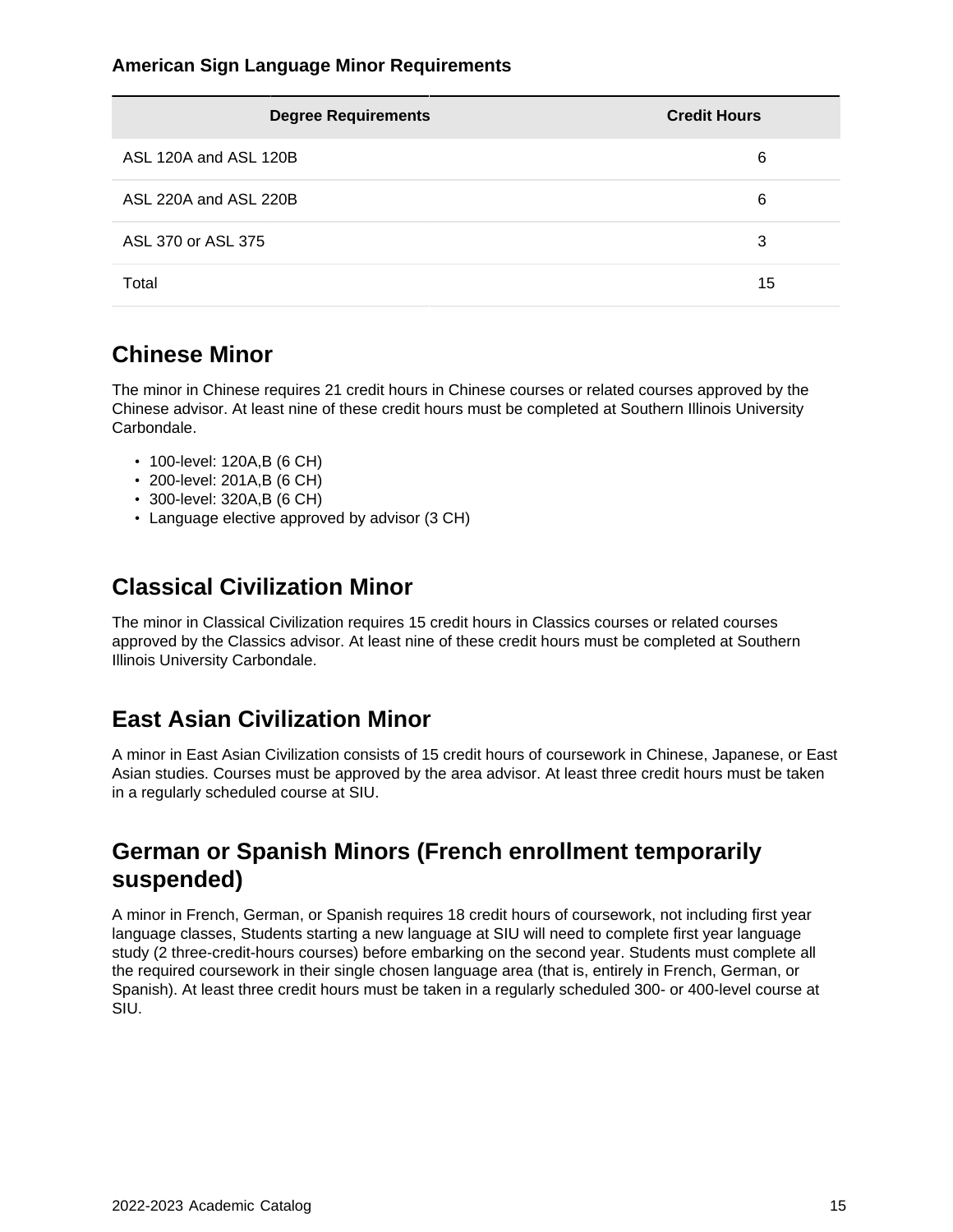| <b>Degree Requirements</b> | <b>Credit Hours</b> |
|----------------------------|---------------------|
| ASL 120A and ASL 120B      | 6                   |
| ASL 220A and ASL 220B      | 6                   |
| ASL 370 or ASL 375         | 3                   |
| Total                      | 15                  |

# **Chinese Minor**

The minor in Chinese requires 21 credit hours in Chinese courses or related courses approved by the Chinese advisor. At least nine of these credit hours must be completed at Southern Illinois University Carbondale.

- 100-level: 120A,B (6 CH)
- 200-level: 201A,B (6 CH)
- 300-level: 320A,B (6 CH)
- Language elective approved by advisor (3 CH)

# **Classical Civilization Minor**

The minor in Classical Civilization requires 15 credit hours in Classics courses or related courses approved by the Classics advisor. At least nine of these credit hours must be completed at Southern Illinois University Carbondale.

# **East Asian Civilization Minor**

A minor in East Asian Civilization consists of 15 credit hours of coursework in Chinese, Japanese, or East Asian studies. Courses must be approved by the area advisor. At least three credit hours must be taken in a regularly scheduled course at SIU.

# **German or Spanish Minors (French enrollment temporarily suspended)**

A minor in French, German, or Spanish requires 18 credit hours of coursework, not including first year language classes, Students starting a new language at SIU will need to complete first year language study (2 three-credit-hours courses) before embarking on the second year. Students must complete all the required coursework in their single chosen language area (that is, entirely in French, German, or Spanish). At least three credit hours must be taken in a regularly scheduled 300- or 400-level course at SIU.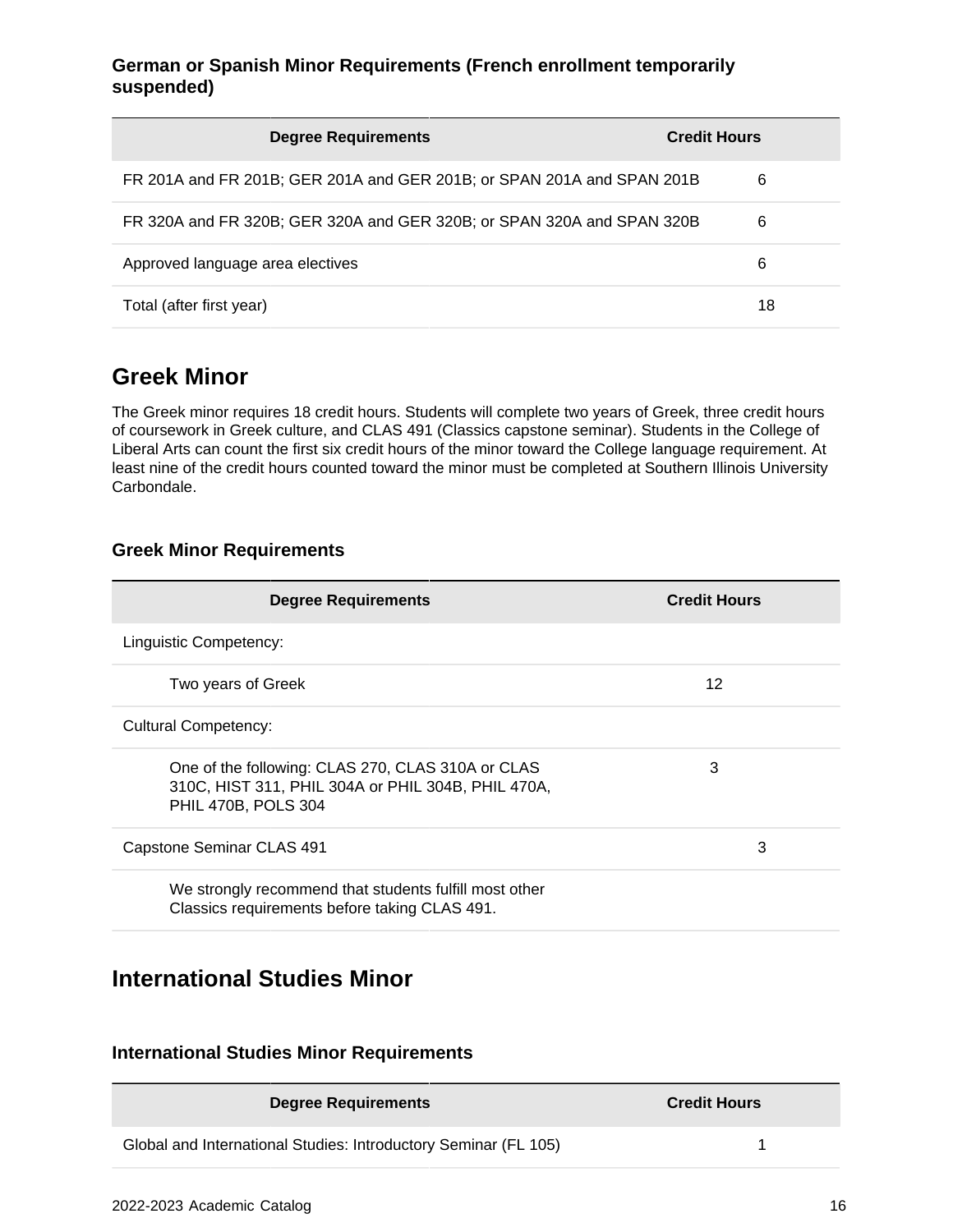#### **German or Spanish Minor Requirements (French enrollment temporarily suspended)**

| <b>Degree Requirements</b>                                             | <b>Credit Hours</b> |
|------------------------------------------------------------------------|---------------------|
| FR 201A and FR 201B; GER 201A and GER 201B; or SPAN 201A and SPAN 201B | 6                   |
| FR 320A and FR 320B; GER 320A and GER 320B; or SPAN 320A and SPAN 320B | 6                   |
| Approved language area electives                                       | 6                   |
| Total (after first year)                                               | 18                  |

### **Greek Minor**

The Greek minor requires 18 credit hours. Students will complete two years of Greek, three credit hours of coursework in Greek culture, and CLAS 491 (Classics capstone seminar). Students in the College of Liberal Arts can count the first six credit hours of the minor toward the College language requirement. At least nine of the credit hours counted toward the minor must be completed at Southern Illinois University Carbondale.

### **Greek Minor Requirements**

| <b>Degree Requirements</b>                                                                                                     | <b>Credit Hours</b> |
|--------------------------------------------------------------------------------------------------------------------------------|---------------------|
| Linguistic Competency:                                                                                                         |                     |
| Two years of Greek                                                                                                             | 12                  |
| <b>Cultural Competency:</b>                                                                                                    |                     |
| One of the following: CLAS 270, CLAS 310A or CLAS<br>310C, HIST 311, PHIL 304A or PHIL 304B, PHIL 470A,<br>PHIL 470B, POLS 304 | 3                   |
| Capstone Seminar CLAS 491                                                                                                      | 3                   |
| We strongly recommend that students fulfill most other<br>Classics requirements before taking CLAS 491.                        |                     |

### **International Studies Minor**

### **International Studies Minor Requirements**

| <b>Degree Requirements</b>                                      | <b>Credit Hours</b> |
|-----------------------------------------------------------------|---------------------|
| Global and International Studies: Introductory Seminar (FL 105) |                     |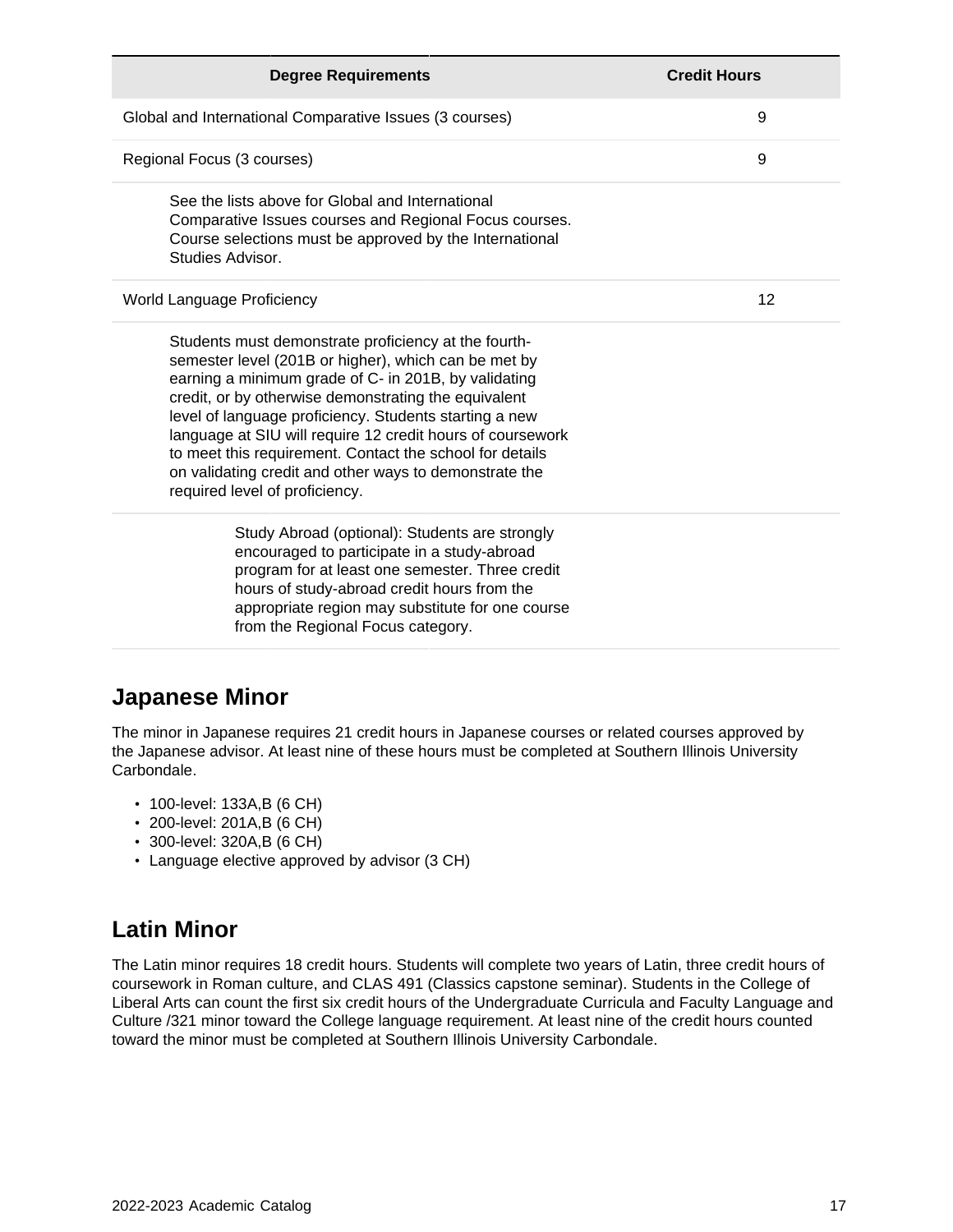| <b>Degree Requirements</b>                                                                                                                                                                                                                                                                                                                                                                                                                                                                                   | <b>Credit Hours</b> |
|--------------------------------------------------------------------------------------------------------------------------------------------------------------------------------------------------------------------------------------------------------------------------------------------------------------------------------------------------------------------------------------------------------------------------------------------------------------------------------------------------------------|---------------------|
| Global and International Comparative Issues (3 courses)                                                                                                                                                                                                                                                                                                                                                                                                                                                      | 9                   |
| Regional Focus (3 courses)                                                                                                                                                                                                                                                                                                                                                                                                                                                                                   | 9                   |
| See the lists above for Global and International<br>Comparative Issues courses and Regional Focus courses.<br>Course selections must be approved by the International<br>Studies Advisor.                                                                                                                                                                                                                                                                                                                    |                     |
| World Language Proficiency                                                                                                                                                                                                                                                                                                                                                                                                                                                                                   | 12                  |
| Students must demonstrate proficiency at the fourth-<br>semester level (201B or higher), which can be met by<br>earning a minimum grade of C- in 201B, by validating<br>credit, or by otherwise demonstrating the equivalent<br>level of language proficiency. Students starting a new<br>language at SIU will require 12 credit hours of coursework<br>to meet this requirement. Contact the school for details<br>on validating credit and other ways to demonstrate the<br>required level of proficiency. |                     |
| Study Abroad (optional): Students are strongly<br>encouraged to participate in a study-abroad<br>program for at least one semester. Three credit<br>hours of study-abroad credit hours from the<br>appropriate region may substitute for one course<br>from the Regional Focus category.                                                                                                                                                                                                                     |                     |

### **Japanese Minor**

The minor in Japanese requires 21 credit hours in Japanese courses or related courses approved by the Japanese advisor. At least nine of these hours must be completed at Southern Illinois University Carbondale.

- 100-level: 133A,B (6 CH)
- 200-level: 201A,B (6 CH)
- 300-level: 320A,B (6 CH)
- Language elective approved by advisor (3 CH)

## **Latin Minor**

The Latin minor requires 18 credit hours. Students will complete two years of Latin, three credit hours of coursework in Roman culture, and CLAS 491 (Classics capstone seminar). Students in the College of Liberal Arts can count the first six credit hours of the Undergraduate Curricula and Faculty Language and Culture /321 minor toward the College language requirement. At least nine of the credit hours counted toward the minor must be completed at Southern Illinois University Carbondale.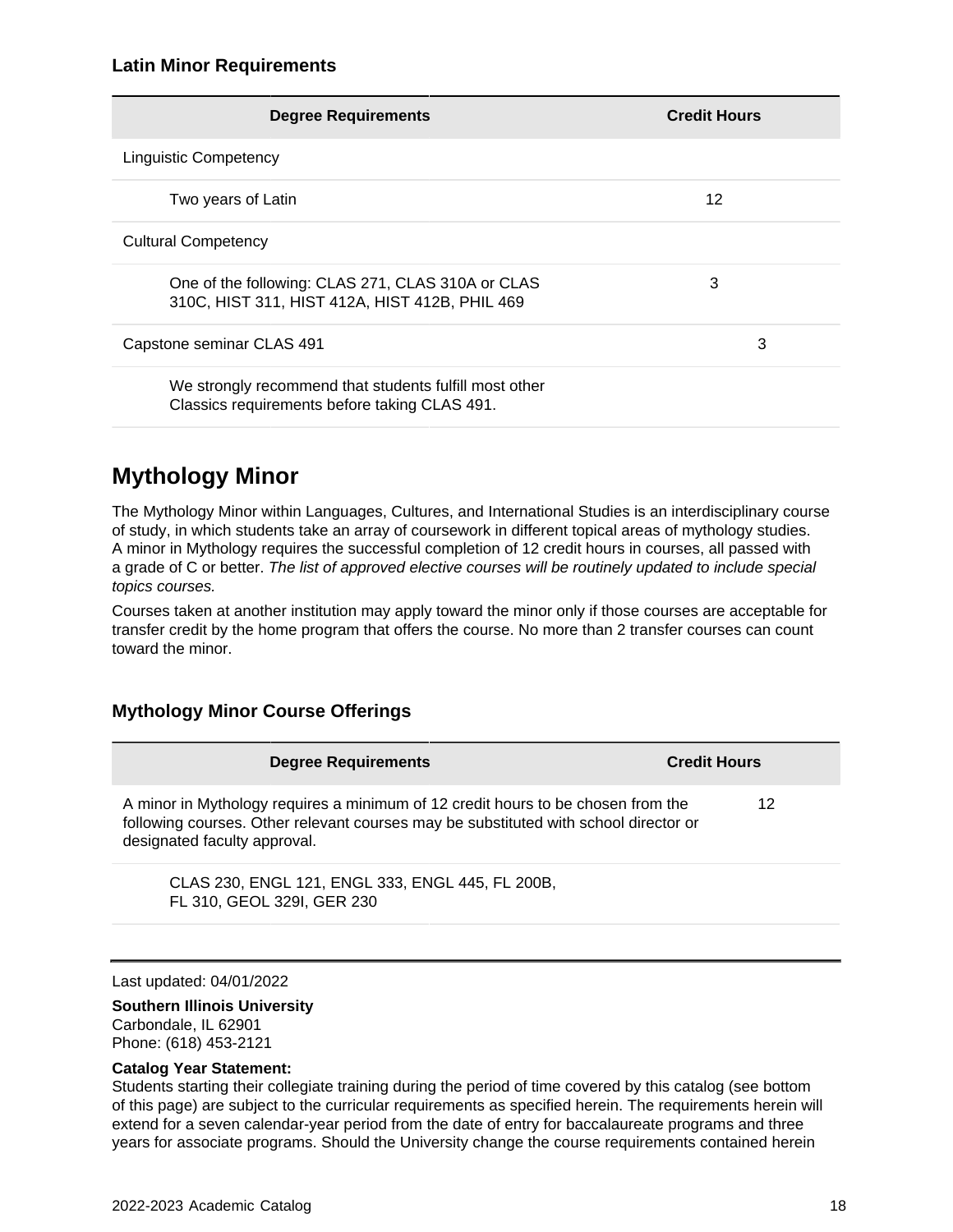| <b>Degree Requirements</b>                                                                              | <b>Credit Hours</b> |
|---------------------------------------------------------------------------------------------------------|---------------------|
| <b>Linguistic Competency</b>                                                                            |                     |
| Two years of Latin                                                                                      | 12                  |
| <b>Cultural Competency</b>                                                                              |                     |
| One of the following: CLAS 271, CLAS 310A or CLAS<br>310C, HIST 311, HIST 412A, HIST 412B, PHIL 469     | 3                   |
| Capstone seminar CLAS 491                                                                               | 3                   |
| We strongly recommend that students fulfill most other<br>Classics requirements before taking CLAS 491. |                     |

## **Mythology Minor**

The Mythology Minor within Languages, Cultures, and International Studies is an interdisciplinary course of study, in which students take an array of coursework in different topical areas of mythology studies. A minor in Mythology requires the successful completion of 12 credit hours in courses, all passed with a grade of C or better. The list of approved elective courses will be routinely updated to include special topics courses.

Courses taken at another institution may apply toward the minor only if those courses are acceptable for transfer credit by the home program that offers the course. No more than 2 transfer courses can count toward the minor.

### **Mythology Minor Course Offerings**

| <b>Degree Requirements</b>                                                                                                                                                                               | <b>Credit Hours</b> |
|----------------------------------------------------------------------------------------------------------------------------------------------------------------------------------------------------------|---------------------|
| A minor in Mythology requires a minimum of 12 credit hours to be chosen from the<br>following courses. Other relevant courses may be substituted with school director or<br>designated faculty approval. | 12                  |
| CLAS 230, ENGL 121, ENGL 333, ENGL 445, FL 200B,<br>FL 310, GEOL 329I, GER 230                                                                                                                           |                     |

Last updated: 04/01/2022

**Southern Illinois University** Carbondale, IL 62901 Phone: (618) 453-2121

#### **Catalog Year Statement:**

Students starting their collegiate training during the period of time covered by this catalog (see bottom of this page) are subject to the curricular requirements as specified herein. The requirements herein will extend for a seven calendar-year period from the date of entry for baccalaureate programs and three years for associate programs. Should the University change the course requirements contained herein